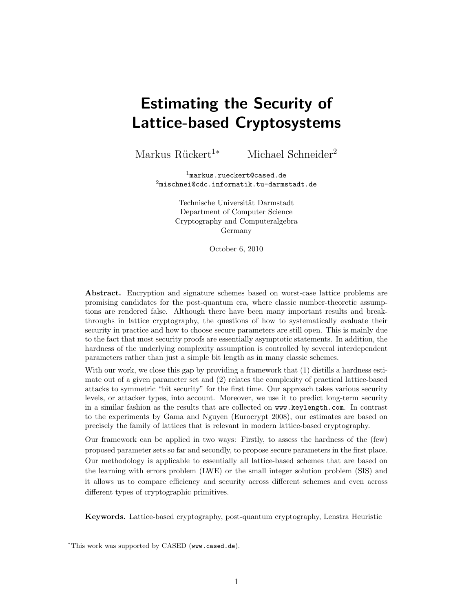# Estimating the Security of Lattice-based Cryptosystems

Markus Rückert<sup>1∗</sup> Michael Schneider<sup>2</sup>

 $1$ markus.rueckert@cased.de  $2\text{mischnei@cdc.informatik.tu-darmstadt.de}$ 

> Technische Universität Darmstadt Department of Computer Science Cryptography and Computeralgebra Germany

> > October 6, 2010

Abstract. Encryption and signature schemes based on worst-case lattice problems are promising candidates for the post-quantum era, where classic number-theoretic assumptions are rendered false. Although there have been many important results and breakthroughs in lattice cryptography, the questions of how to systematically evaluate their security in practice and how to choose secure parameters are still open. This is mainly due to the fact that most security proofs are essentially asymptotic statements. In addition, the hardness of the underlying complexity assumption is controlled by several interdependent parameters rather than just a simple bit length as in many classic schemes.

With our work, we close this gap by providing a framework that  $(1)$  distills a hardness estimate out of a given parameter set and (2) relates the complexity of practical lattice-based attacks to symmetric "bit security" for the first time. Our approach takes various security levels, or attacker types, into account. Moreover, we use it to predict long-term security in a similar fashion as the results that are collected on www.keylength.com. In contrast to the experiments by Gama and Nguyen (Eurocrypt 2008), our estimates are based on precisely the family of lattices that is relevant in modern lattice-based cryptography.

Our framework can be applied in two ways: Firstly, to assess the hardness of the (few) proposed parameter sets so far and secondly, to propose secure parameters in the first place. Our methodology is applicable to essentially all lattice-based schemes that are based on the learning with errors problem (LWE) or the small integer solution problem (SIS) and it allows us to compare efficiency and security across different schemes and even across different types of cryptographic primitives.

Keywords. Lattice-based cryptography, post-quantum cryptography, Lenstra Heuristic

<sup>∗</sup>This work was supported by CASED (www.cased.de).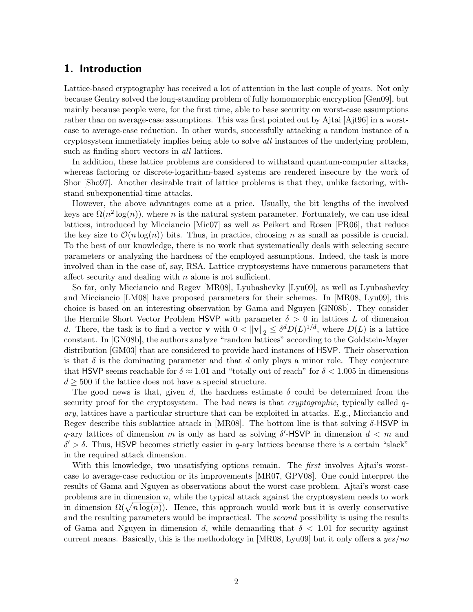# 1. Introduction

Lattice-based cryptography has received a lot of attention in the last couple of years. Not only because Gentry solved the long-standing problem of fully homomorphic encryption [Gen09], but mainly because people were, for the first time, able to base security on worst-case assumptions rather than on average-case assumptions. This was first pointed out by Ajtai [Ajt96] in a worstcase to average-case reduction. In other words, successfully attacking a random instance of a cryptosystem immediately implies being able to solve all instances of the underlying problem, such as finding short vectors in all lattices.

In addition, these lattice problems are considered to withstand quantum-computer attacks, whereas factoring or discrete-logarithm-based systems are rendered insecure by the work of Shor [Sho97]. Another desirable trait of lattice problems is that they, unlike factoring, withstand subexponential-time attacks.

However, the above advantages come at a price. Usually, the bit lengths of the involved keys are  $\Omega(n^2 \log(n))$ , where n is the natural system parameter. Fortunately, we can use ideal lattices, introduced by Micciancio [Mic07] as well as Peikert and Rosen [PR06], that reduce the key size to  $\mathcal{O}(n \log(n))$  bits. Thus, in practice, choosing n as small as possible is crucial. To the best of our knowledge, there is no work that systematically deals with selecting secure parameters or analyzing the hardness of the employed assumptions. Indeed, the task is more involved than in the case of, say, RSA. Lattice cryptosystems have numerous parameters that affect security and dealing with  $n$  alone is not sufficient.

So far, only Micciancio and Regev [MR08], Lyubashevky [Lyu09], as well as Lyubashevky and Micciancio [LM08] have proposed parameters for their schemes. In [MR08, Lyu09], this choice is based on an interesting observation by Gama and Nguyen [GN08b]. They consider the Hermite Short Vector Problem HSVP with parameter  $\delta > 0$  in lattices L of dimension d. There, the task is to find a vector **v** with  $0 < ||\mathbf{v}||_2 \leq \delta^d D(L)^{1/d}$ , where  $D(L)$  is a lattice constant. In [GN08b], the authors analyze "random lattices" according to the Goldstein-Mayer distribution [GM03] that are considered to provide hard instances of HSVP. Their observation is that  $\delta$  is the dominating parameter and that d only plays a minor role. They conjecture that HSVP seems reachable for  $\delta \approx 1.01$  and "totally out of reach" for  $\delta < 1.005$  in dimensions  $d \geq 500$  if the lattice does not have a special structure.

The good news is that, given d, the hardness estimate  $\delta$  could be determined from the security proof for the cryptosystem. The bad news is that *cryptographic*, typically called  $q$ ary, lattices have a particular structure that can be exploited in attacks. E.g., Micciancio and Regev describe this sublattice attack in [MR08]. The bottom line is that solving  $\delta$ -HSVP in q-ary lattices of dimension m is only as hard as solving  $\delta'$ -HSVP in dimension  $d < m$  and  $\delta' > \delta$ . Thus, HSVP becomes strictly easier in q-ary lattices because there is a certain "slack" in the required attack dimension.

With this knowledge, two unsatisfying options remain. The *first* involves A jtai's worstcase to average-case reduction or its improvements [MR07, GPV08]. One could interpret the results of Gama and Nguyen as observations about the worst-case problem. Ajtai's worst-case problems are in dimension  $n$ , while the typical attack against the cryptosystem needs to work in dimension  $\Omega(\sqrt{n \log(n)})$ . Hence, this approach would work but it is overly conservative and the resulting parameters would be impractical. The *second* possibility is using the results of Gama and Nguyen in dimension d, while demanding that  $\delta$  < 1.01 for security against current means. Basically, this is the methodology in [MR08, Lyu09] but it only offers a yes/no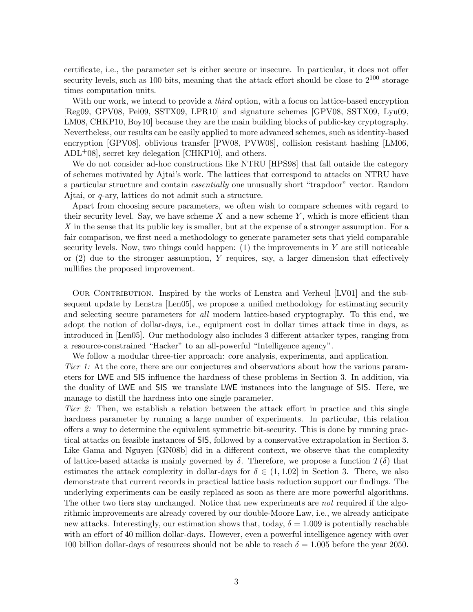certificate, i.e., the parameter set is either secure or insecure. In particular, it does not offer security levels, such as 100 bits, meaning that the attack effort should be close to  $2^{100}$  storage times computation units.

With our work, we intend to provide a *third* option, with a focus on lattice-based encryption [Reg09, GPV08, Pei09, SSTX09, LPR10] and signature schemes [GPV08, SSTX09, Lyu09, LM08, CHKP10, Boy10] because they are the main building blocks of public-key cryptography. Nevertheless, our results can be easily applied to more advanced schemes, such as identity-based encryption [GPV08], oblivious transfer [PW08, PVW08], collision resistant hashing [LM06,  $ADL+08$ , secret key delegation [CHKP10], and others.

We do not consider ad-hoc constructions like NTRU [HPS98] that fall outside the category of schemes motivated by Ajtai's work. The lattices that correspond to attacks on NTRU have a particular structure and contain *essentially* one unusually short "trapdoor" vector. Random Ajtai, or q-ary, lattices do not admit such a structure.

Apart from choosing secure parameters, we often wish to compare schemes with regard to their security level. Say, we have scheme  $X$  and a new scheme  $Y$ , which is more efficient than X in the sense that its public key is smaller, but at the expense of a stronger assumption. For a fair comparison, we first need a methodology to generate parameter sets that yield comparable security levels. Now, two things could happen:  $(1)$  the improvements in Y are still noticeable or  $(2)$  due to the stronger assumption, Y requires, say, a larger dimension that effectively nullifies the proposed improvement.

OUR CONTRIBUTION. Inspired by the works of Lenstra and Verheul [LV01] and the subsequent update by Lenstra [Len05], we propose a unified methodology for estimating security and selecting secure parameters for all modern lattice-based cryptography. To this end, we adopt the notion of dollar-days, i.e., equipment cost in dollar times attack time in days, as introduced in [Len05]. Our methodology also includes 3 different attacker types, ranging from a resource-constrained "Hacker" to an all-powerful "Intelligence agency".

We follow a modular three-tier approach: core analysis, experiments, and application. Tier 1: At the core, there are our conjectures and observations about how the various parameters for LWE and SIS influence the hardness of these problems in Section 3. In addition, via the duality of LWE and SIS we translate LWE instances into the language of SIS. Here, we manage to distill the hardness into one single parameter.

Tier 2: Then, we establish a relation between the attack effort in practice and this single hardness parameter by running a large number of experiments. In particular, this relation offers a way to determine the equivalent symmetric bit-security. This is done by running practical attacks on feasible instances of SIS, followed by a conservative extrapolation in Section 3. Like Gama and Nguyen [GN08b] did in a different context, we observe that the complexity of lattice-based attacks is mainly governed by  $\delta$ . Therefore, we propose a function  $T(\delta)$  that estimates the attack complexity in dollar-days for  $\delta \in (1, 1.02]$  in Section 3. There, we also demonstrate that current records in practical lattice basis reduction support our findings. The underlying experiments can be easily replaced as soon as there are more powerful algorithms. The other two tiers stay unchanged. Notice that new experiments are *not* required if the algorithmic improvements are already covered by our double-Moore Law, i.e., we already anticipate new attacks. Interestingly, our estimation shows that, today,  $\delta = 1.009$  is potentially reachable with an effort of 40 million dollar-days. However, even a powerful intelligence agency with over 100 billion dollar-days of resources should not be able to reach  $\delta = 1.005$  before the year 2050.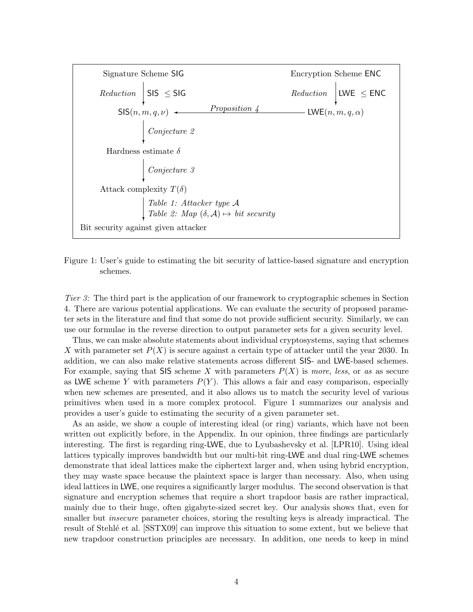

Figure 1: User's guide to estimating the bit security of lattice-based signature and encryption schemes.

Tier 3: The third part is the application of our framework to cryptographic schemes in Section 4. There are various potential applications. We can evaluate the security of proposed parameter sets in the literature and find that some do not provide sufficient security. Similarly, we can use our formulae in the reverse direction to output parameter sets for a given security level.

Thus, we can make absolute statements about individual cryptosystems, saying that schemes X with parameter set  $P(X)$  is secure against a certain type of attacker until the year 2030. In addition, we can also make relative statements across different SIS- and LWE-based schemes. For example, saying that SIS scheme X with parameters  $P(X)$  is more, less, or as as secure as LWE scheme Y with parameters  $P(Y)$ . This allows a fair and easy comparison, especially when new schemes are presented, and it also allows us to match the security level of various primitives when used in a more complex protocol. Figure 1 summarizes our analysis and provides a user's guide to estimating the security of a given parameter set.

As an aside, we show a couple of interesting ideal (or ring) variants, which have not been written out explicitly before, in the Appendix. In our opinion, three findings are particularly interesting. The first is regarding ring-LWE, due to Lyubashevsky et al. [LPR10]. Using ideal lattices typically improves bandwidth but our multi-bit ring-LWE and dual ring-LWE schemes demonstrate that ideal lattices make the ciphertext larger and, when using hybrid encryption, they may waste space because the plaintext space is larger than necessary. Also, when using ideal lattices in LWE, one requires a significantly larger modulus. The second observation is that signature and encryption schemes that require a short trapdoor basis are rather impractical, mainly due to their huge, often gigabyte-sized secret key. Our analysis shows that, even for smaller but *insecure* parameter choices, storing the resulting keys is already impractical. The result of Stehle<sup>t</sup> et al. [SSTX09] can improve this situation to some extent, but we believe that new trapdoor construction principles are necessary. In addition, one needs to keep in mind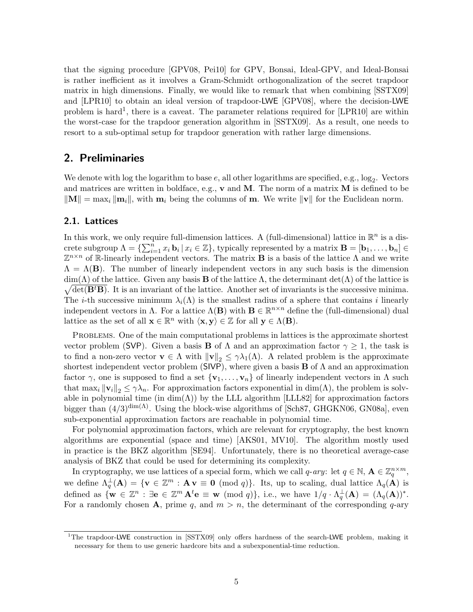that the signing procedure [GPV08, Pei10] for GPV, Bonsai, Ideal-GPV, and Ideal-Bonsai is rather inefficient as it involves a Gram-Schmidt orthogonalization of the secret trapdoor matrix in high dimensions. Finally, we would like to remark that when combining [SSTX09] and [LPR10] to obtain an ideal version of trapdoor-LWE [GPV08], where the decision-LWE problem is hard<sup>1</sup>, there is a caveat. The parameter relations required for [LPR10] are within the worst-case for the trapdoor generation algorithm in [SSTX09]. As a result, one needs to resort to a sub-optimal setup for trapdoor generation with rather large dimensions.

# 2. Preliminaries

We denote with log the logarithm to base  $e$ , all other logarithms are specified, e.g.,  $log_2$ . Vectors and matrices are written in boldface, e.g.,  $\bf{v}$  and  $\bf{M}$ . The norm of a matrix  $\bf{M}$  is defined to be  $\|\mathbf{M}\| = \max_i \|\mathbf{m}_i\|$ , with  $\mathbf{m}_i$  being the columns of m. We write  $\|\mathbf{v}\|$  for the Euclidean norm.

## 2.1. Lattices

In this work, we only require full-dimension lattices. A (full-dimensional) lattice in  $\mathbb{R}^n$  is a discrete subgroup  $\Lambda = \{\sum_{i=1}^n x_i \mathbf{b}_i | x_i \in \mathbb{Z}\}$ , typically represented by a matrix  $\mathbf{B} = [\mathbf{b}_1, \ldots, \mathbf{b}_n] \in$  $\mathbb{Z}^{n \times n}$  of R-linearly independent vectors. The matrix **B** is a basis of the lattice  $\Lambda$  and we write  $\Lambda = \Lambda(B)$ . The number of linearly independent vectors in any such basis is the dimension  $\sqrt{\det(\mathbf{B}^t\mathbf{B})}$ . It is an invariant of the lattice. Another set of invariants is the successive minima.  $\dim(\Lambda)$  of the lattice. Given any basis **B** of the lattice  $\Lambda$ , the determinant  $\det(\Lambda)$  of the lattice is The *i*-th successive minimum  $\lambda_i(\Lambda)$  is the smallest radius of a sphere that contains *i* linearly independent vectors in  $\Lambda$ . For a lattice  $\Lambda(\mathbf{B})$  with  $\mathbf{B} \in \mathbb{R}^{n \times n}$  define the (full-dimensional) dual lattice as the set of all  $\mathbf{x} \in \mathbb{R}^n$  with  $\langle \mathbf{x}, \mathbf{y} \rangle \in \mathbb{Z}$  for all  $\mathbf{y} \in \Lambda(\mathbf{B})$ .

Problems. One of the main computational problems in lattices is the approximate shortest vector problem (SVP). Given a basis **B** of  $\Lambda$  and an approximation factor  $\gamma \geq 1$ , the task is to find a non-zero vector  $\mathbf{v} \in \Lambda$  with  $\|\mathbf{v}\|_2 \leq \gamma \lambda_1(\Lambda)$ . A related problem is the approximate shortest independent vector problem (SIVP), where given a basis **B** of  $\Lambda$  and an approximation factor  $\gamma$ , one is supposed to find a set  $\{v_1, \ldots, v_n\}$  of linearly independent vectors in  $\Lambda$  such that max<sub>i</sub>  $\|\mathbf{v}_i\|_2 \leq \gamma \lambda_n$ . For approximation factors exponential in dim( $\Lambda$ ), the problem is solvable in polynomial time (in  $\dim(\Lambda)$ ) by the LLL algorithm [LLL82] for approximation factors bigger than  $(4/3)^{\dim(\Lambda)}$ . Using the block-wise algorithms of [Sch87, GHGKN06, GN08a], even sub-exponential approximation factors are reachable in polynomial time.

For polynomial approximation factors, which are relevant for cryptography, the best known algorithms are exponential (space and time) [AKS01, MV10]. The algorithm mostly used in practice is the BKZ algorithm [SE94]. Unfortunately, there is no theoretical average-case analysis of BKZ that could be used for determining its complexity.

In cryptography, we use lattices of a special form, which we call  $q$ -ary: let  $q \in \mathbb{N}$ ,  $\mathbf{A} \in \mathbb{Z}_q^{n \times m}$ , we define  $\Lambda_q^{\perp}(\mathbf{A}) = \{ \mathbf{v} \in \mathbb{Z}^m : \mathbf{A} \mathbf{v} \equiv \mathbf{0} \pmod{q} \}$ . Its, up to scaling, dual lattice  $\Lambda_q(\mathbf{A})$  is defined as  $\{\mathbf{w} \in \mathbb{Z}^n : \exists \mathbf{e} \in \mathbb{Z}^m \mathbf{A}^t \mathbf{e} \equiv \mathbf{w} \pmod{q}\},\$ i.e., we have  $1/q \cdot \Lambda_q^{\perp}(\mathbf{A}) = (\Lambda_q(\mathbf{A}))^*$ . For a randomly chosen **A**, prime q, and  $m > n$ , the determinant of the corresponding q-ary

<sup>&</sup>lt;sup>1</sup>The trapdoor-LWE construction in [SSTX09] only offers hardness of the search-LWE problem, making it necessary for them to use generic hardcore bits and a subexponential-time reduction.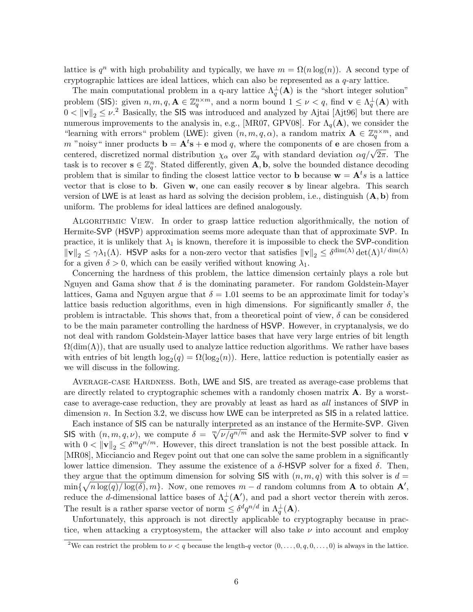lattice is  $q^n$  with high probability and typically, we have  $m = \Omega(n \log(n))$ . A second type of cryptographic lattices are ideal lattices, which can also be represented as a q-ary lattice.

The main computational problem in a q-ary lattice  $\Lambda_q^{\perp}(\mathbf{A})$  is the "short integer solution" problem (SIS): given  $n, m, q, \mathbf{A} \in \mathbb{Z}_q^{n \times m}$ , and a norm bound  $1 \leq \nu < q$ , find  $\mathbf{v} \in \Lambda_q^{\perp}(\mathbf{A})$  with  $0 < ||v||_2 \leq \nu^2$  Basically, the SIS was introduced and analyzed by Ajtai [Ajt96] but there are numerous improvements to the analysis in, e.g., [MR07, GPV08]. For  $\Lambda_q(A)$ , we consider the "learning with errors" problem (LWE): given  $(n, m, q, \alpha)$ , a random matrix  $\mathbf{A} \in \mathbb{Z}_q^{n \times m}$ , and m "noisy" inner products  $\mathbf{b} = \mathbf{A}^t \mathbf{s} + \mathbf{e} \mod q$ , where the components of  $\mathbf{e}$  are chosen from a m holds in the products  $\mathbf{b} = \mathbf{A} \cdot \mathbf{s} + \mathbf{e} \mod q$ , where the components of  $\mathbf{e}$  are chosen from a centered, discretized normal distribution  $\chi_{\alpha}$  over  $\mathbb{Z}_q$  with standard deviation  $\alpha q/\sqrt{2\pi}$ . The task is to recover  $\mathbf{s} \in \mathbb{Z}_q^n$ . Stated differently, given  $\mathbf{A}, \mathbf{b}$ , solve the bounded distance decoding problem that is similar to finding the closest lattice vector to **b** because  $\mathbf{w} = \mathbf{A}^t s$  is a lattice vector that is close to b. Given w, one can easily recover s by linear algebra. This search version of LWE is at least as hard as solving the decision problem, i.e., distinguish  $(A, b)$  from uniform. The problems for ideal lattices are defined analogously.

Algorithmic View. In order to grasp lattice reduction algorithmically, the notion of Hermite-SVP (HSVP) approximation seems more adequate than that of approximate SVP. In practice, it is unlikely that  $\lambda_1$  is known, therefore it is impossible to check the SVP-condition  $\|\mathbf{v}\|_2 \leq \gamma\lambda_1(\Lambda)$ . HSVP asks for a non-zero vector that satisfies  $\|\mathbf{v}\|_2 \leq \delta^{\dim(\Lambda)}\det(\Lambda)^{1/\dim(\Lambda)}$ for a given  $\delta > 0$ , which can be easily verified without knowing  $\lambda_1$ .

Concerning the hardness of this problem, the lattice dimension certainly plays a role but Nguyen and Gama show that  $\delta$  is the dominating parameter. For random Goldstein-Mayer lattices, Gama and Nguyen argue that  $\delta = 1.01$  seems to be an approximate limit for today's lattice basis reduction algorithms, even in high dimensions. For significantly smaller  $\delta$ , the problem is intractable. This shows that, from a theoretical point of view,  $\delta$  can be considered to be the main parameter controlling the hardness of HSVP. However, in cryptanalysis, we do not deal with random Goldstein-Mayer lattice bases that have very large entries of bit length  $\Omega(\text{dim}(\Lambda))$ , that are usually used to analyze lattice reduction algorithms. We rather have bases with entries of bit length  $log_2(q) = \Omega(log_2(n))$ . Here, lattice reduction is potentially easier as we will discuss in the following.

Average-case Hardness. Both, LWE and SIS, are treated as average-case problems that are directly related to cryptographic schemes with a randomly chosen matrix A. By a worstcase to average-case reduction, they are provably at least as hard as all instances of SIVP in dimension n. In Section 3.2, we discuss how LWE can be interpreted as  $\textsf{SIS}$  in a related lattice.

Each instance of SIS can be naturally interpreted as an instance of the Hermite-SVP. Given SIS with  $(n, m, q, \nu)$ , we compute  $\delta = \sqrt[m]{\nu/q^{n/m}}$  and ask the Hermite-SVP solver to find **v** with  $0 < ||\mathbf{v}||_2 \leq \delta^m q^{n/m}$ . However, this direct translation is not the best possible attack. In [MR08], Micciancio and Regev point out that one can solve the same problem in a significantly lower lattice dimension. They assume the existence of a  $\delta$ -HSVP solver for a fixed  $\delta$ . Then, they argue that the optimum dimension for solving SIS with  $(n, m, q)$  with this solver is  $d =$  $\min\{\sqrt{n\log(q)/\log(\delta)}, m\}.$  Now, one removes  $m-d$  random columns from **A** to obtain **A'**, reduce the d-dimensional lattice bases of  $\Lambda_q^{\perp}(\mathbf{A}')$ , and pad a short vector therein with zeros. The result is a rather sparse vector of norm  $\leq \delta^d q^{n/d}$  in  $\Lambda_q^{\perp}(\mathbf{A})$ .

Unfortunately, this approach is not directly applicable to cryptography because in practice, when attacking a cryptosystem, the attacker will also take  $\nu$  into account and employ

<sup>&</sup>lt;sup>2</sup>We can restrict the problem to  $\nu < q$  because the length-q vector  $(0, \ldots, 0, q, 0, \ldots, 0)$  is always in the lattice.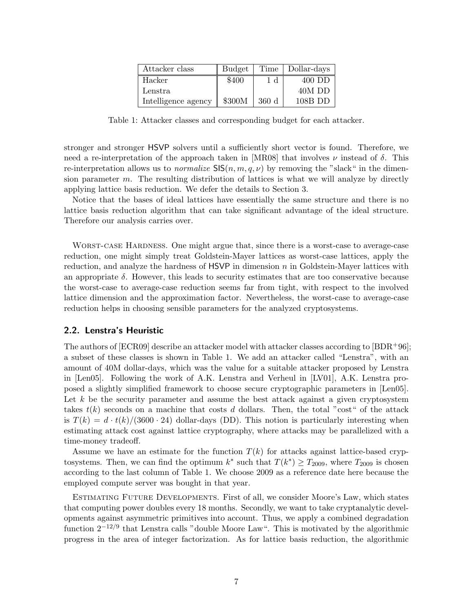| Attacker class      | Budget |                | Time   Dollar-days |
|---------------------|--------|----------------|--------------------|
| Hacker              | \$400  | 1 <sub>d</sub> | 400 DD             |
| Lenstra             |        |                | 40M DD             |
| Intelligence agency | \$300M | 360d           | 108B DD            |

Table 1: Attacker classes and corresponding budget for each attacker.

stronger and stronger HSVP solvers until a sufficiently short vector is found. Therefore, we need a re-interpretation of the approach taken in [MR08] that involves  $\nu$  instead of  $\delta$ . This re-interpretation allows us to *normalize*  $\mathsf{SIS}(n, m, q, \nu)$  by removing the "slack" in the dimension parameter  $m$ . The resulting distribution of lattices is what we will analyze by directly applying lattice basis reduction. We defer the details to Section 3.

Notice that the bases of ideal lattices have essentially the same structure and there is no lattice basis reduction algorithm that can take significant advantage of the ideal structure. Therefore our analysis carries over.

WORST-CASE HARDNESS. One might argue that, since there is a worst-case to average-case reduction, one might simply treat Goldstein-Mayer lattices as worst-case lattices, apply the reduction, and analyze the hardness of  $\text{HSVP}$  in dimension n in Goldstein-Mayer lattices with an appropriate  $\delta$ . However, this leads to security estimates that are too conservative because the worst-case to average-case reduction seems far from tight, with respect to the involved lattice dimension and the approximation factor. Nevertheless, the worst-case to average-case reduction helps in choosing sensible parameters for the analyzed cryptosystems.

## 2.2. Lenstra's Heuristic

The authors of  $[ECR09]$  describe an attacker model with attacker classes according to  $[BDR+96]$ ; a subset of these classes is shown in Table 1. We add an attacker called "Lenstra", with an amount of 40M dollar-days, which was the value for a suitable attacker proposed by Lenstra in [Len05]. Following the work of A.K. Lenstra and Verheul in [LV01], A.K. Lenstra proposed a slightly simplified framework to choose secure cryptographic parameters in [Len05]. Let  $k$  be the security parameter and assume the best attack against a given cryptosystem takes  $t(k)$  seconds on a machine that costs d dollars. Then, the total "cost" of the attack is  $T(k) = d \cdot t(k)/(3600 \cdot 24)$  dollar-days (DD). This notion is particularly interesting when estimating attack cost against lattice cryptography, where attacks may be parallelized with a time-money tradeoff.

Assume we have an estimate for the function  $T(k)$  for attacks against lattice-based cryptosystems. Then, we can find the optimum  $k^*$  such that  $T(k^*) \geq T_{2009}$ , where  $T_{2009}$  is chosen according to the last column of Table 1. We choose 2009 as a reference date here because the employed compute server was bought in that year.

Estimating Future Developments. First of all, we consider Moore's Law, which states that computing power doubles every 18 months. Secondly, we want to take cryptanalytic developments against asymmetric primitives into account. Thus, we apply a combined degradation function  $2^{-12/9}$  that Lenstra calls "double Moore Law". This is motivated by the algorithmic progress in the area of integer factorization. As for lattice basis reduction, the algorithmic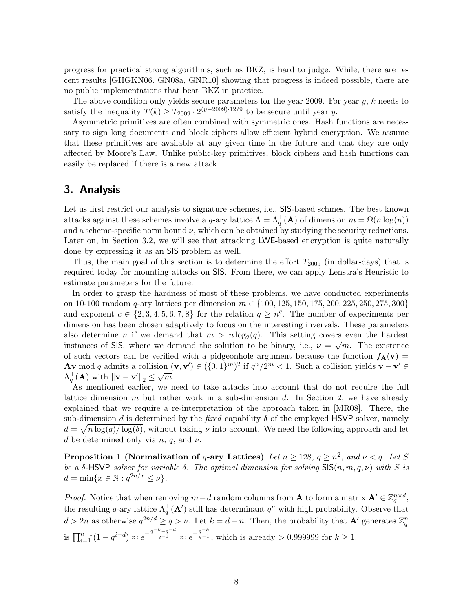progress for practical strong algorithms, such as BKZ, is hard to judge. While, there are recent results [GHGKN06, GN08a, GNR10] showing that progress is indeed possible, there are no public implementations that beat BKZ in practice.

The above condition only yields secure parameters for the year 2009. For year  $y, k$  needs to satisfy the inequality  $T(k) \geq T_{2009} \cdot 2^{(y-2009)\cdot 12/9}$  to be secure until year y.

Asymmetric primitives are often combined with symmetric ones. Hash functions are necessary to sign long documents and block ciphers allow efficient hybrid encryption. We assume that these primitives are available at any given time in the future and that they are only affected by Moore's Law. Unlike public-key primitives, block ciphers and hash functions can easily be replaced if there is a new attack.

## 3. Analysis

Let us first restrict our analysis to signature schemes, i.e., SIS-based schmes. The best known attacks against these schemes involve a q-ary lattice  $\Lambda = \Lambda_q^{\perp}(\mathbf{A})$  of dimension  $m = \Omega(n \log(n))$ and a scheme-specific norm bound  $\nu$ , which can be obtained by studying the security reductions. Later on, in Section 3.2, we will see that attacking LWE-based encryption is quite naturally done by expressing it as an SIS problem as well.

Thus, the main goal of this section is to determine the effort  $T_{2009}$  (in dollar-days) that is required today for mounting attacks on SIS. From there, we can apply Lenstra's Heuristic to estimate parameters for the future.

In order to grasp the hardness of most of these problems, we have conducted experiments on 10-100 random q-ary lattices per dimension  $m \in \{100, 125, 150, 175, 200, 225, 250, 275, 300\}$ and exponent  $c \in \{2, 3, 4, 5, 6, 7, 8\}$  for the relation  $q \geq n^c$ . The number of experiments per dimension has been chosen adaptively to focus on the interesting invervals. These parameters also determine *n* if we demand that  $m > n \log_2(q)$ . This setting covers even the hardest instances of SIS, where we demand the solution to be binary, i.e.,  $\nu = \sqrt{m}$ . The existence of such vectors can be verified with a pidgeonhole argument because the function  $f_{\mathbf{A}}(\mathbf{v}) =$ Av mod q admits a collision  $(\mathbf{v}, \mathbf{v}') \in (\{0,1\}^m)^2$  if  $q^n/2^m < 1$ . Such a collision yields  $\mathbf{v} - \mathbf{v}' \in$  $\Lambda_q^{\perp}(\mathbf{A})$  with  $\|\mathbf{v} - \mathbf{v}'\|_2 \leq \sqrt{m}$ .

As mentioned earlier, we need to take attacks into account that do not require the full lattice dimension  $m$  but rather work in a sub-dimension  $d$ . In Section 2, we have already explained that we require a re-interpretation of the approach taken in [MR08]. There, the sub-dimension d is determined by the fixed capability  $\delta$  of the employed HSVP solver, namely  $d = \sqrt{n \log(q)/\log(\delta)}$ , without taking  $\nu$  into account. We need the following approach and let d be determined only via  $n, q$ , and  $\nu$ .

**Proposition 1 (Normalization of q-ary Lattices)** Let  $n \ge 128$ ,  $q \ge n^2$ , and  $\nu < q$ . Let S be a  $\delta$ -HSVP solver for variable  $\delta$ . The optimal dimension for solving SIS $(n, m, q, \nu)$  with S is  $d = \min\{x \in \mathbb{N} : q^{2n/x} \leq \nu\}.$ 

*Proof.* Notice that when removing  $m-d$  random columns from **A** to form a matrix  $\mathbf{A}' \in \mathbb{Z}_q^{n \times d}$ , the resulting q-ary lattice  $\Lambda_q^{\perp}(\mathbf{A}')$  still has determinant  $q^n$  with high probability. Observe that  $d > 2n$  as otherwise  $q^{2n/d} \ge q > \nu$ . Let  $k = d - n$ . Then, the probability that  $\mathbf{A}'$  generates  $\mathbb{Z}_q^n$ is  $\prod_{i=1}^{n-1} (1 - q^{i-d}) \approx e^{-\frac{q^{-k}-q^{-d}}{q-1}} \approx e^{-\frac{q^{-k}}{q-1}}$ , which is already > 0.999999 for  $k \ge 1$ .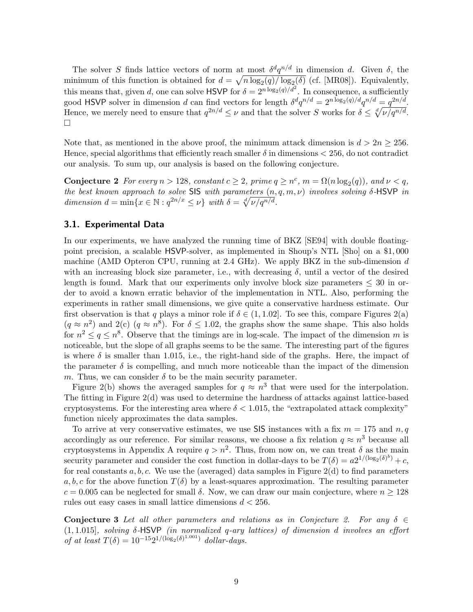The solver S finds lattice vectors of norm at most  $\delta^d q^{n/d}$  in dimension d. Given  $\delta$ , the minimum of this function is obtained for  $d = \sqrt{n \log_2(q)/\log_2(\delta)}$  (cf. [MR08]). Equivalently, this means that, given d, one can solve HSVP for  $\delta = 2^{n \log_2(q)/d^2}$ . In consequence, a sufficiently good HSVP solver in dimension d can find vectors for length  $\delta^d q^{n/d} = 2^{n \log_2(q)/d} q^{n/d} = q^{2n/d}$ . Hence, we merely need to ensure that  $q^{2n/d} \leq \nu$  and that the solver S works for  $\delta \leq \sqrt[d]{\nu/q^{n/d}}$ .  $\Box$ 

Note that, as mentioned in the above proof, the minimum attack dimension is  $d > 2n \ge 256$ . Hence, special algorithms that efficiently reach smaller  $\delta$  in dimensions  $<$  256, do not contradict our analysis. To sum up, our analysis is based on the following conjecture.

**Conjecture 2** For every  $n > 128$ , constant  $c \geq 2$ , prime  $q \geq n^c$ ,  $m = \Omega(n \log_2(q))$ , and  $\nu < q$ , the best known approach to solve SIS with parameters  $(n, q, m, \nu)$  involves solving  $\delta$ -HSVP in dimension  $d = \min\{x \in \mathbb{N} : q^{2n/x} \leq \nu\}$  with  $\delta = \sqrt[4]{\nu/q^{n/d}}$ .

#### 3.1. Experimental Data

In our experiments, we have analyzed the running time of BKZ [SE94] with double floatingpoint precision, a scalable HSVP-solver, as implemented in Shoup's NTL [Sho] on a \$1, 000 machine (AMD Opteron CPU, running at 2.4 GHz). We apply BKZ in the sub-dimension  $d$ with an increasing block size parameter, i.e., with decreasing  $\delta$ , until a vector of the desired length is found. Mark that our experiments only involve block size parameters  $\leq 30$  in order to avoid a known erratic behavior of the implementation in NTL. Also, performing the experiments in rather small dimensions, we give quite a conservative hardness estimate. Our first observation is that q plays a minor role if  $\delta \in (1, 1.02]$ . To see this, compare Figures 2(a)  $(q \approx n^2)$  and  $2(c)$   $(q \approx n^8)$ . For  $\delta \leq 1.02$ , the graphs show the same shape. This also holds for  $n^2 \le q \le n^8$ . Observe that the timings are in log-scale. The impact of the dimension m is noticeable, but the slope of all graphs seems to be the same. The interesting part of the figures is where  $\delta$  is smaller than 1.015, i.e., the right-hand side of the graphs. Here, the impact of the parameter  $\delta$  is compelling, and much more noticeable than the impact of the dimension m. Thus, we can consider  $\delta$  to be the main security parameter.

Figure 2(b) shows the averaged samples for  $q \approx n^3$  that were used for the interpolation. The fitting in Figure 2(d) was used to determine the hardness of attacks against lattice-based cryptosystems. For the interesting area where  $\delta < 1.015$ , the "extrapolated attack complexity" function nicely approximates the data samples.

To arrive at very conservative estimates, we use SIS instances with a fix  $m = 175$  and  $n, q$ accordingly as our reference. For similar reasons, we choose a fix relation  $q \approx n^3$  because all cryptosystems in Appendix A require  $q > n^2$ . Thus, from now on, we can treat  $\delta$  as the main security parameter and consider the cost function in dollar-days to be  $T(\delta) = a2^{1/(\log_2(\delta)^b)} + c$ , for real constants  $a, b, c$ . We use the (averaged) data samples in Figure 2(d) to find parameters a, b, c for the above function  $T(\delta)$  by a least-squares approximation. The resulting parameter  $c = 0.005$  can be neglected for small  $\delta$ . Now, we can draw our main conjecture, where  $n \ge 128$ rules out easy cases in small lattice dimensions  $d < 256$ .

**Conjecture 3** Let all other parameters and relations as in Conjecture 2. For any  $\delta \in$  $(1, 1.015]$ , solving  $\delta$ -HSVP (in normalized q-ary lattices) of dimension d involves an effort of at least  $T(\delta) = 10^{-15} 2^{1/(\log_2(\delta)^{1.001})}$  dollar-days.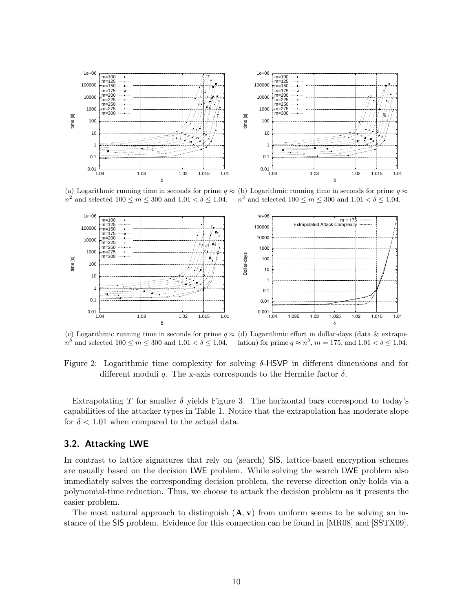

(a) Logarithmic running time in seconds for prime  $q \approx |(b)$  Logarithmic running time in seconds for prime  $q \approx$  $n^2$  and selected  $100 \le m \le 300$  and  $1.01 < \delta \le 1.04$ .  $n^3$  and selected  $100 \le m \le 300$  and  $1.01 < \delta \le 1.04$ .



(c) Logarithmic running time in seconds for prime  $q \approx |d\rangle$  Logarithmic effort in dollar-days (data & extrapo $n^8$  and selected  $100 \le m \le 300$  and  $1.01 < \delta \le 1.04$ . lation) for prime  $q \approx n^3$ ,  $m = 175$ , and  $1.01 < \delta \leq 1.04$ .

Figure 2: Logarithmic time complexity for solving  $\delta$ -HSVP in different dimensions and for different moduli q. The x-axis corresponds to the Hermite factor  $\delta$ .

Extrapolating T for smaller  $\delta$  yields Figure 3. The horizontal bars correspond to today's capabilities of the attacker types in Table 1. Notice that the extrapolation has moderate slope for  $\delta < 1.01$  when compared to the actual data.

#### 3.2. Attacking LWE

In contrast to lattice signatures that rely on (search) SIS, lattice-based encryption schemes are usually based on the decision LWE problem. While solving the search LWE problem also immediately solves the corresponding decision problem, the reverse direction only holds via a polynomial-time reduction. Thus, we choose to attack the decision problem as it presents the easier problem.

The most natural approach to distinguish  $(A, v)$  from uniform seems to be solving an instance of the SIS problem. Evidence for this connection can be found in [MR08] and [SSTX09].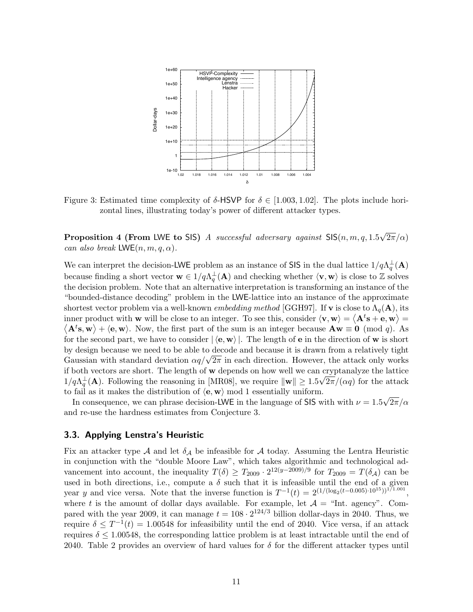

Figure 3: Estimated time complexity of  $\delta$ -HSVP for  $\delta \in [1.003, 1.02]$ . The plots include horizontal lines, illustrating today's power of different attacker types.

**Proposition 4 (From LWE to SIS)** A successful adversary against  $\text{SIS}(n, m, q, 1.5)$ √  $2\pi/\alpha)$ can also break  $LWE(n, m, q, \alpha)$ .

We can interpret the decision-LWE problem as an instance of SIS in the dual lattice  $1/q\Lambda_q^{\perp}(A)$ because finding a short vector  $\mathbf{w} \in 1/q\Lambda_q^{\perp}(\mathbf{A})$  and checking whether  $\langle \mathbf{v}, \mathbf{w} \rangle$  is close to Z solves the decision problem. Note that an alternative interpretation is transforming an instance of the "bounded-distance decoding" problem in the LWE-lattice into an instance of the approximate shortest vector problem via a well-known *embedding method* [GGH97]. If **v** is close to  $\Lambda_q(\mathbf{A})$ , its inner product with **w** will be close to an integer. To see this, consider  $\langle \mathbf{v}, \mathbf{w} \rangle = \langle \mathbf{A}^t \mathbf{s} + \mathbf{e}, \mathbf{w} \rangle =$  $\langle \mathbf{A}^t \mathbf{s}, \mathbf{w} \rangle + \langle \mathbf{e}, \mathbf{w} \rangle$ . Now, the first part of the sum is an integer because  $\mathbf{A} \mathbf{w} \equiv \mathbf{0} \pmod{q}$ . As for the second part, we have to consider  $|\langle {\bf e}, {\bf w} \rangle|$ . The length of **e** in the direction of **w** is short by design because we need to be able to decode and because it is drawn from a relatively tight by design because we need to be able to decode and because it is drawn from a relatively tight Gaussian with standard deviation  $\alpha q/\sqrt{2\pi}$  in each direction. However, the attack only works if both vectors are short. The length of **w** depends on how well we can cryptanalyze the lattice  $1/q\Lambda_q^{\perp}(\mathbf{A})$ . Following the reasoning in [MR08], we require  $\|\mathbf{w}\| \geq 1.5\sqrt{2\pi}/(\alpha q)$  for the attack to fail as it makes the distribution of  $\langle e, w \rangle$  mod 1 essentially uniform. √

In consequence, we can phrase decision-LWE in the language of SIS with with  $\nu = 1.5$  $2\pi/\alpha$ and re-use the hardness estimates from Conjecture 3.

#### 3.3. Applying Lenstra's Heuristic

Fix an attacker type A and let  $\delta_A$  be infeasible for A today. Assuming the Lentra Heuristic in conjunction with the "double Moore Law", which takes algorithmic and technological advancement into account, the inequality  $T(\delta) \geq T_{2009} \cdot 2^{12(y-2009)/9}$  for  $T_{2009} = T(\delta_{\mathcal{A}})$  can be used in both directions, i.e., compute a  $\delta$  such that it is infeasible until the end of a given year y and vice versa. Note that the inverse function is  $T^{-1}(t) = 2^{(1/(\log_2(t-0.005)\cdot 10^{15}))^{1/1.001}}$ , where t is the amount of dollar days available. For example, let  $A =$  "Int. agency". Compared with the year 2009, it can manage  $t = 108 \cdot 2^{124/3}$  billion dollar-days in 2040. Thus, we require  $\delta \leq T^{-1}(t) = 1.00548$  for infeasibility until the end of 2040. Vice versa, if an attack requires  $\delta \leq 1.00548$ , the corresponding lattice problem is at least intractable until the end of 2040. Table 2 provides an overview of hard values for  $\delta$  for the different attacker types until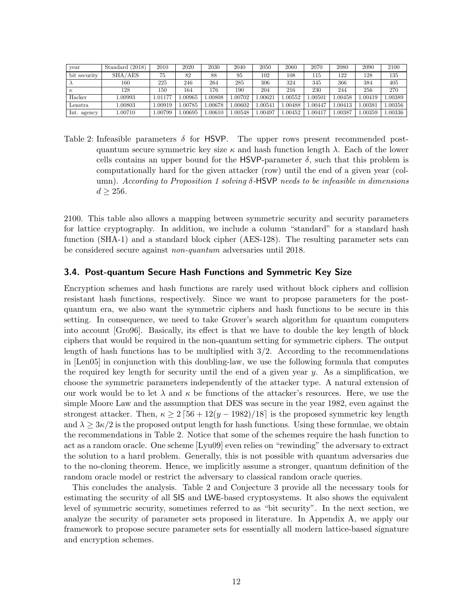| year         | Standard (2018) | 2010   | 2020   | 2030   | 2040   | 2050   | 2060   | 2070    | 2080   | 2090    | 2100   |
|--------------|-----------------|--------|--------|--------|--------|--------|--------|---------|--------|---------|--------|
| bit security | SHA/AES         | 75     | 82     | 88     | 95     | 102    | 108    | 115     | 122    | 128     | 135    |
|              | 160             | 225    | 246    | 264    | 285    | 306    | 324    | 345     | 366    | 384     | 405    |
| $\kappa$     | 128             | 150    | 164    | 176    | 190    | 204    | 216    | 230     | 244    | 256     | 270    |
| Hacker       | 1.00993         | .01177 | .00965 | .00808 | .00702 | .00621 | .00552 | 0.00501 | .00458 | .00419  | .00389 |
| Lenstra      | 1.00803         | .00919 | .00785 | .00678 | .00602 | .00541 | .00488 | 00447.  | .00413 | .00381  | .00356 |
| Int. agency  | 1.00710         | .00799 | .00695 | .00610 | .00548 | .00497 | .00452 | 00417   | .00387 | 0.00359 | .00336 |

Table 2: Infeasible parameters  $\delta$  for HSVP. The upper rows present recommended postquantum secure symmetric key size  $\kappa$  and hash function length  $\lambda$ . Each of the lower cells contains an upper bound for the HSVP-parameter  $\delta$ , such that this problem is computationally hard for the given attacker (row) until the end of a given year (column). According to Proposition 1 solving  $\delta$ -HSVP needs to be infeasible in dimensions  $d \geq 256$ .

2100. This table also allows a mapping between symmetric security and security parameters for lattice cryptography. In addition, we include a column "standard" for a standard hash function (SHA-1) and a standard block cipher (AES-128). The resulting parameter sets can be considered secure against non-quantum adversaries until 2018.

#### 3.4. Post-quantum Secure Hash Functions and Symmetric Key Size

Encryption schemes and hash functions are rarely used without block ciphers and collision resistant hash functions, respectively. Since we want to propose parameters for the postquantum era, we also want the symmetric ciphers and hash functions to be secure in this setting. In consequence, we need to take Grover's search algorithm for quantum computers into account [Gro96]. Basically, its effect is that we have to double the key length of block ciphers that would be required in the non-quantum setting for symmetric ciphers. The output length of hash functions has to be multiplied with 3/2. According to the recommendations in [Len05] in conjunction with this doubling-law, we use the following formula that computes the required key length for security until the end of a given year  $y$ . As a simplification, we choose the symmetric parameters independently of the attacker type. A natural extension of our work would be to let  $\lambda$  and  $\kappa$  be functions of the attacker's resources. Here, we use the simple Moore Law and the assumption that DES was secure in the year 1982, even against the strongest attacker. Then,  $\kappa \geq 2 \left[ 56 + 12(y - 1982)/18 \right]$  is the proposed symmetric key length and  $\lambda \geq 3\kappa/2$  is the proposed output length for hash functions. Using these formulae, we obtain the recommendations in Table 2. Notice that some of the schemes require the hash function to act as a random oracle. One scheme [Lyu09] even relies on "rewinding" the adversary to extract the solution to a hard problem. Generally, this is not possible with quantum adversaries due to the no-cloning theorem. Hence, we implicitly assume a stronger, quantum definition of the random oracle model or restrict the adversary to classical random oracle queries.

This concludes the analysis. Table 2 and Conjecture 3 provide all the necessary tools for estimating the security of all SIS and LWE-based cryptosystems. It also shows the equivalent level of symmetric security, sometimes referred to as "bit security". In the next section, we analyze the security of parameter sets proposed in literature. In Appendix A, we apply our framework to propose secure parameter sets for essentially all modern lattice-based signature and encryption schemes.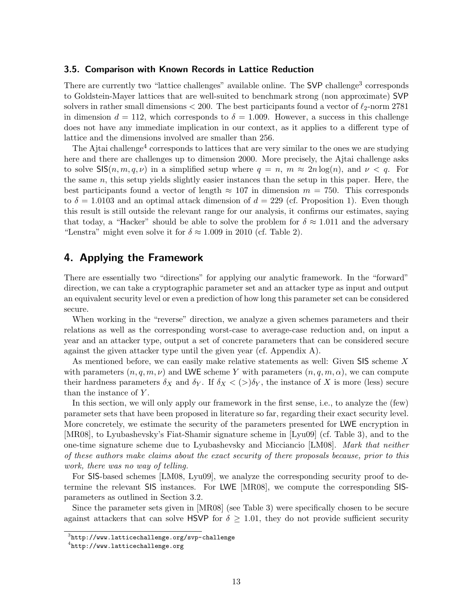#### 3.5. Comparison with Known Records in Lattice Reduction

There are currently two "lattice challenges" available online. The SVP challenge<sup>3</sup> corresponds to Goldstein-Mayer lattices that are well-suited to benchmark strong (non approximate) SVP solvers in rather small dimensions  $< 200$ . The best participants found a vector of  $\ell_2$ -norm 2781 in dimension  $d = 112$ , which corresponds to  $\delta = 1.009$ . However, a success in this challenge does not have any immediate implication in our context, as it applies to a different type of lattice and the dimensions involved are smaller than 256.

The Ajtai challenge<sup>4</sup> corresponds to lattices that are very similar to the ones we are studying here and there are challenges up to dimension 2000. More precisely, the Ajtai challenge asks to solve  $\mathsf{SIS}(n, m, q, \nu)$  in a simplified setup where  $q = n, m \approx 2n \log(n)$ , and  $\nu < q$ . For the same n, this setup yields slightly easier instances than the setup in this paper. Here, the best participants found a vector of length  $\approx 107$  in dimension  $m = 750$ . This corresponds to  $\delta = 1.0103$  and an optimal attack dimension of  $d = 229$  (cf. Proposition 1). Even though this result is still outside the relevant range for our analysis, it confirms our estimates, saying that today, a "Hacker" should be able to solve the problem for  $\delta \approx 1.011$  and the adversary "Lenstra" might even solve it for  $\delta \approx 1.009$  in 2010 (cf. Table 2).

## 4. Applying the Framework

There are essentially two "directions" for applying our analytic framework. In the "forward" direction, we can take a cryptographic parameter set and an attacker type as input and output an equivalent security level or even a prediction of how long this parameter set can be considered secure.

When working in the "reverse" direction, we analyze a given schemes parameters and their relations as well as the corresponding worst-case to average-case reduction and, on input a year and an attacker type, output a set of concrete parameters that can be considered secure against the given attacker type until the given year (cf. Appendix A).

As mentioned before, we can easily make relative statements as well: Given SIS scheme X with parameters  $(n, q, m, \nu)$  and LWE scheme Y with parameters  $(n, q, m, \alpha)$ , we can compute their hardness parameters  $\delta_X$  and  $\delta_Y$ . If  $\delta_X < (>)\delta_Y$ , the instance of X is more (less) secure than the instance of Y.

In this section, we will only apply our framework in the first sense, i.e., to analyze the (few) parameter sets that have been proposed in literature so far, regarding their exact security level. More concretely, we estimate the security of the parameters presented for LWE encryption in [MR08], to Lyubashevsky's Fiat-Shamir signature scheme in [Lyu09] (cf. Table 3), and to the one-time signature scheme due to Lyubashevsky and Micciancio [LM08]. Mark that neither of these authors make claims about the exact security of there proposals because, prior to this work, there was no way of telling.

For SIS-based schemes [LM08, Lyu09], we analyze the corresponding security proof to determine the relevant SIS instances. For LWE [MR08], we compute the corresponding SISparameters as outlined in Section 3.2.

Since the parameter sets given in [MR08] (see Table 3) were specifically chosen to be secure against attackers that can solve HSVP for  $\delta \geq 1.01$ , they do not provide sufficient security

 $^3$ http://www.latticechallenge.org/svp-challenge

 $^4$ http://www.latticechallenge.org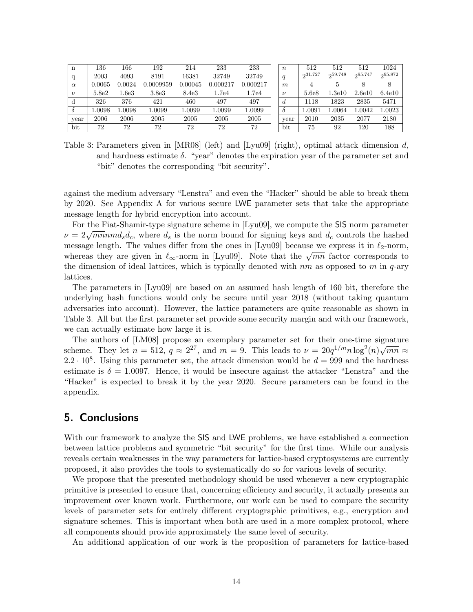| n            | 136    | 166    | 192       | 214     | 233      | 233      | $\boldsymbol{n}$ | 512     | 512     | 512     | 1024    |
|--------------|--------|--------|-----------|---------|----------|----------|------------------|---------|---------|---------|---------|
| q            | 2003   | 4093   | 8191      | 16381   | 32749    | 32749    | q                | 231.727 | 259.748 | 295.747 | 295.872 |
| $\alpha$     | 0.0065 | 0.0024 | 0.0009959 | 0.00045 | 0.000217 | 0.000217 | m                | 4       |         |         |         |
| $\nu$        | 5.8e2  | 1.6e3  | 3.8e3     | 8.4e3   | 1.7e4    | 1.7e4    | $\nu$            | 5.6e8   | l.3e10  | 2.6e10  | 6.4e10  |
| d            | 326    | 376    | 421       | 460     | 497      | 497      | d                | 1118    | 1823    | 2835    | 5471    |
| $\delta$     | L.0098 | .0098  | 1.0099    | 1.0099  | 1.0099   | 1.0099   | $\delta$         | 1.0091  | .0064   | 1.0042  | 1.0023  |
| year         | 2006   | 2006   | 2005      | 2005    | 2005     | 2005     | vear             | 2010    | 2035    | 2077    | 2180    |
| $_{\rm bit}$ | 72     | 72     | 72        | 72      | 72       | 72       | bit              | 75      | 92      | 120     | 188     |

Table 3: Parameters given in [MR08] (left) and [Lyu09] (right), optimal attack dimension  $d$ , and hardness estimate  $\delta$ . "year" denotes the expiration year of the parameter set and "bit" denotes the corresponding "bit security".

against the medium adversary "Lenstra" and even the "Hacker" should be able to break them by 2020. See Appendix A for various secure LWE parameter sets that take the appropriate message length for hybrid encryption into account.

For the Fiat-Shamir-type signature scheme in [Lyu09], we compute the SIS norm parameter  $ν = 2\sqrt{mn} nmd_s d_c$ , where  $d_s$  is the norm bound for signing keys and  $d_c$  controls the hashed message length. The values differ from the ones in [Lyu09] because we express it in  $\ell_2$ -norm, message length. The values differ from the ones in [Lyu09] because we express it in  $\ell_2$ -norm,<br>whereas they are given in  $\ell_{\infty}$ -norm in [Lyu09]. Note that the  $\sqrt{mn}$  factor corresponds to the dimension of ideal lattices, which is typically denoted with  $nm$  as opposed to m in  $q$ -ary lattices.

The parameters in [Lyu09] are based on an assumed hash length of 160 bit, therefore the underlying hash functions would only be secure until year 2018 (without taking quantum adversaries into account). However, the lattice parameters are quite reasonable as shown in Table 3. All but the first parameter set provide some security margin and with our framework, we can actually estimate how large it is.

The authors of [LM08] propose an exemplary parameter set for their one-time signature scheme. They let  $n = 512$ ,  $q \approx 2^{27}$ , and  $m = 9$ . This leads to  $\nu = 20q^{1/m}n \log^2(n)\sqrt{mn} \approx$  $2.2 \cdot 10^8$ . Using this parameter set, the attack dimension would be  $d = 999$  and the hardness estimate is  $\delta = 1.0097$ . Hence, it would be insecure against the attacker "Lenstra" and the "Hacker" is expected to break it by the year 2020. Secure parameters can be found in the appendix.

# 5. Conclusions

With our framework to analyze the SIS and LWE problems, we have established a connection between lattice problems and symmetric "bit security" for the first time. While our analysis reveals certain weaknesses in the way parameters for lattice-based cryptosystems are currently proposed, it also provides the tools to systematically do so for various levels of security.

We propose that the presented methodology should be used whenever a new cryptographic primitive is presented to ensure that, concerning efficiency and security, it actually presents an improvement over known work. Furthermore, our work can be used to compare the security levels of parameter sets for entirely different cryptographic primitives, e.g., encryption and signature schemes. This is important when both are used in a more complex protocol, where all components should provide approximately the same level of security.

An additional application of our work is the proposition of parameters for lattice-based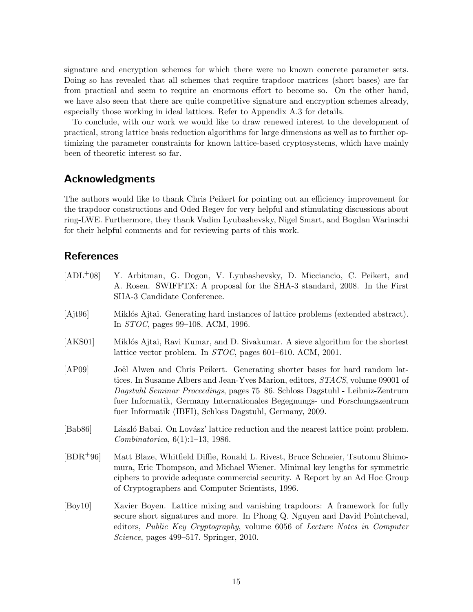signature and encryption schemes for which there were no known concrete parameter sets. Doing so has revealed that all schemes that require trapdoor matrices (short bases) are far from practical and seem to require an enormous effort to become so. On the other hand, we have also seen that there are quite competitive signature and encryption schemes already, especially those working in ideal lattices. Refer to Appendix A.3 for details.

To conclude, with our work we would like to draw renewed interest to the development of practical, strong lattice basis reduction algorithms for large dimensions as well as to further optimizing the parameter constraints for known lattice-based cryptosystems, which have mainly been of theoretic interest so far.

## Acknowledgments

The authors would like to thank Chris Peikert for pointing out an efficiency improvement for the trapdoor constructions and Oded Regev for very helpful and stimulating discussions about ring-LWE. Furthermore, they thank Vadim Lyubashevsky, Nigel Smart, and Bogdan Warinschi for their helpful comments and for reviewing parts of this work.

# References

| $[ADL+08]$     | Y. Arbitman, G. Dogon, V. Lyubashevsky, D. Micciancio, C. Peikert, and<br>A. Rosen. SWIFFTX: A proposal for the SHA-3 standard, 2008. In the First<br>SHA-3 Candidate Conference.                                                                                                                                                                                                        |
|----------------|------------------------------------------------------------------------------------------------------------------------------------------------------------------------------------------------------------------------------------------------------------------------------------------------------------------------------------------------------------------------------------------|
| $[A]$ it $96]$ | Miklós Ajtai. Generating hard instances of lattice problems (extended abstract).<br>In <i>STOC</i> , pages 99–108. ACM, 1996.                                                                                                                                                                                                                                                            |
| [AKS01]        | Miklós Ajtai, Ravi Kumar, and D. Sivakumar. A sieve algorithm for the shortest<br>lattice vector problem. In $STOC$ , pages 601–610. ACM, 2001.                                                                                                                                                                                                                                          |
| [AP09]         | Joël Alwen and Chris Peikert. Generating shorter bases for hard random lat-<br>tices. In Susanne Albers and Jean-Yves Marion, editors, STACS, volume 09001 of<br>Dagstuhl Seminar Proceedings, pages 75–86. Schloss Dagstuhl - Leibniz-Zentrum<br>fuer Informatik, Germany Internationales Begegnungs- und Forschungszentrum<br>fuer Informatik (IBFI), Schloss Dagstuhl, Germany, 2009. |
| [Bab86]        | László Babai. On Lovász' lattice reduction and the nearest lattice point problem.<br>Combinatorica, $6(1):1-13$ , 1986.                                                                                                                                                                                                                                                                  |
| $[BDR+96]$     | Matt Blaze, Whitfield Diffie, Ronald L. Rivest, Bruce Schneier, Tsutomu Shimo-<br>mura, Eric Thompson, and Michael Wiener. Minimal key lengths for symmetric<br>ciphers to provide adequate commercial security. A Report by an Ad Hoc Group<br>of Cryptographers and Computer Scientists, 1996.                                                                                         |
| [Boy10]        | Xavier Boyen. Lattice mixing and vanishing trapdoors: A framework for fully<br>secure short signatures and more. In Phong Q. Nguyen and David Pointcheval,<br>editors, Public Key Cryptography, volume 6056 of Lecture Notes in Computer<br><i>Science</i> , pages 499–517. Springer, 2010.                                                                                              |
|                |                                                                                                                                                                                                                                                                                                                                                                                          |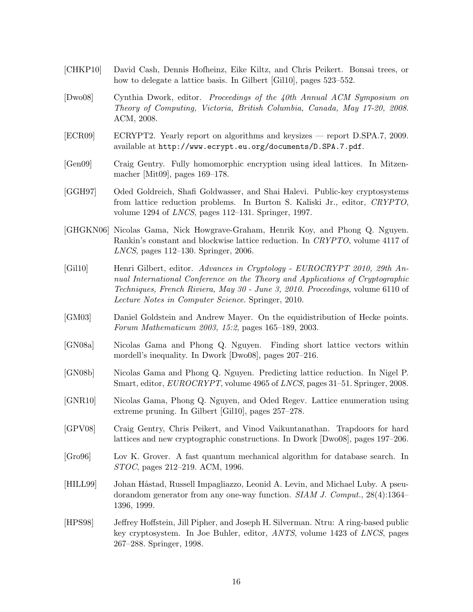- [CHKP10] David Cash, Dennis Hofheinz, Eike Kiltz, and Chris Peikert. Bonsai trees, or how to delegate a lattice basis. In Gilbert [Gil10], pages 523–552.
- [Dwo08] Cynthia Dwork, editor. Proceedings of the 40th Annual ACM Symposium on Theory of Computing, Victoria, British Columbia, Canada, May 17-20, 2008. ACM, 2008.
- [ECR09] ECRYPT2. Yearly report on algorithms and keysizes report D.SPA.7, 2009. available at http://www.ecrypt.eu.org/documents/D.SPA.7.pdf.
- [Gen09] Craig Gentry. Fully homomorphic encryption using ideal lattices. In Mitzenmacher [Mit09], pages 169–178.
- [GGH97] Oded Goldreich, Shafi Goldwasser, and Shai Halevi. Public-key cryptosystems from lattice reduction problems. In Burton S. Kaliski Jr., editor, CRYPTO, volume 1294 of LNCS, pages 112–131. Springer, 1997.
- [GHGKN06] Nicolas Gama, Nick Howgrave-Graham, Henrik Koy, and Phong Q. Nguyen. Rankin's constant and blockwise lattice reduction. In CRYPTO, volume 4117 of LNCS, pages 112–130. Springer, 2006.
- [Gil10] Henri Gilbert, editor. Advances in Cryptology EUROCRYPT 2010, 29th Annual International Conference on the Theory and Applications of Cryptographic Techniques, French Riviera, May 30 - June 3, 2010. Proceedings, volume 6110 of Lecture Notes in Computer Science. Springer, 2010.
- [GM03] Daniel Goldstein and Andrew Mayer. On the equidistribution of Hecke points. Forum Mathematicum 2003, 15:2, pages 165–189, 2003.
- [GN08a] Nicolas Gama and Phong Q. Nguyen. Finding short lattice vectors within mordell's inequality. In Dwork [Dwo08], pages 207–216.
- [GN08b] Nicolas Gama and Phong Q. Nguyen. Predicting lattice reduction. In Nigel P. Smart, editor, EUROCRYPT, volume 4965 of LNCS, pages 31–51. Springer, 2008.
- [GNR10] Nicolas Gama, Phong Q. Nguyen, and Oded Regev. Lattice enumeration using extreme pruning. In Gilbert [Gil10], pages 257–278.
- [GPV08] Craig Gentry, Chris Peikert, and Vinod Vaikuntanathan. Trapdoors for hard lattices and new cryptographic constructions. In Dwork [Dwo08], pages 197–206.
- [Gro96] Lov K. Grover. A fast quantum mechanical algorithm for database search. In STOC, pages 212–219. ACM, 1996.
- [HILL99] Johan Håstad, Russell Impagliazzo, Leonid A. Levin, and Michael Luby. A pseudorandom generator from any one-way function. SIAM J. Comput., 28(4):1364– 1396, 1999.
- [HPS98] Jeffrey Hoffstein, Jill Pipher, and Joseph H. Silverman. Ntru: A ring-based public key cryptosystem. In Joe Buhler, editor, ANTS, volume 1423 of LNCS, pages 267–288. Springer, 1998.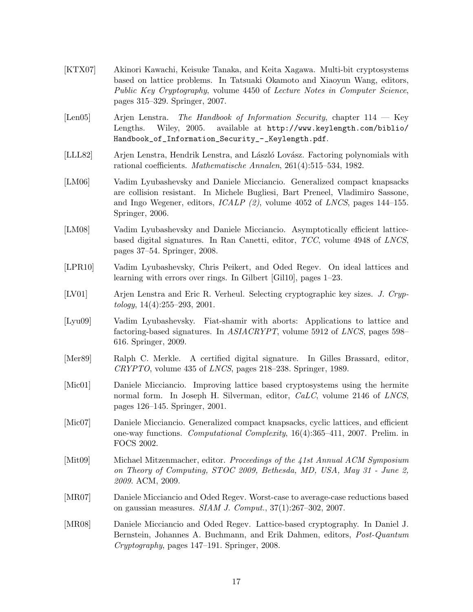- [KTX07] Akinori Kawachi, Keisuke Tanaka, and Keita Xagawa. Multi-bit cryptosystems based on lattice problems. In Tatsuaki Okamoto and Xiaoyun Wang, editors, Public Key Cryptography, volume 4450 of Lecture Notes in Computer Science, pages 315–329. Springer, 2007.
- [Len05] Arjen Lenstra. The Handbook of Information Security, chapter 114 Key Lengths. Wiley, 2005. available at http://www.keylength.com/biblio/ Handbook\_of\_Information\_Security\_-\_Keylength.pdf.
- [LLL82] Arjen Lenstra, Hendrik Lenstra, and László Lovász. Factoring polynomials with rational coefficients. Mathematische Annalen, 261(4):515–534, 1982.
- [LM06] Vadim Lyubashevsky and Daniele Micciancio. Generalized compact knapsacks are collision resistant. In Michele Bugliesi, Bart Preneel, Vladimiro Sassone, and Ingo Wegener, editors, ICALP (2), volume 4052 of LNCS, pages 144–155. Springer, 2006.
- [LM08] Vadim Lyubashevsky and Daniele Micciancio. Asymptotically efficient latticebased digital signatures. In Ran Canetti, editor, TCC, volume 4948 of LNCS, pages 37–54. Springer, 2008.
- [LPR10] Vadim Lyubashevsky, Chris Peikert, and Oded Regev. On ideal lattices and learning with errors over rings. In Gilbert [Gil10], pages 1–23.
- [LV01] Arjen Lenstra and Eric R. Verheul. Selecting cryptographic key sizes. J. Cryp $tology, 14(4):255-293, 2001.$
- [Lyu09] Vadim Lyubashevsky. Fiat-shamir with aborts: Applications to lattice and factoring-based signatures. In ASIACRYPT, volume 5912 of LNCS, pages 598– 616. Springer, 2009.
- [Mer89] Ralph C. Merkle. A certified digital signature. In Gilles Brassard, editor, CRYPTO, volume 435 of LNCS, pages 218–238. Springer, 1989.
- [Mic01] Daniele Micciancio. Improving lattice based cryptosystems using the hermite normal form. In Joseph H. Silverman, editor, CaLC, volume 2146 of LNCS, pages 126–145. Springer, 2001.
- [Mic07] Daniele Micciancio. Generalized compact knapsacks, cyclic lattices, and efficient one-way functions. Computational Complexity, 16(4):365–411, 2007. Prelim. in FOCS 2002.
- [Mit09] Michael Mitzenmacher, editor. Proceedings of the 41st Annual ACM Symposium on Theory of Computing, STOC 2009, Bethesda, MD, USA, May 31 - June 2, 2009. ACM, 2009.
- [MR07] Daniele Micciancio and Oded Regev. Worst-case to average-case reductions based on gaussian measures. SIAM J. Comput., 37(1):267–302, 2007.
- [MR08] Daniele Micciancio and Oded Regev. Lattice-based cryptography. In Daniel J. Bernstein, Johannes A. Buchmann, and Erik Dahmen, editors, Post-Quantum Cryptography, pages 147–191. Springer, 2008.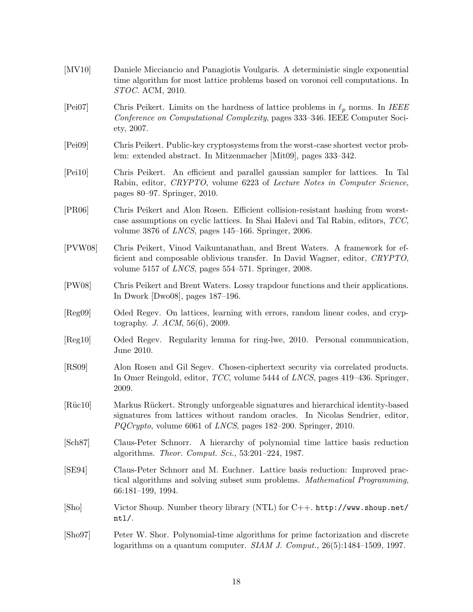| $\left[$ MV10 $\right]$ | Daniele Micciancio and Panagiotis Voulgaris. A deterministic single exponential<br>time algorithm for most lattice problems based on voronoi cell computations. In<br><i>STOC.</i> ACM, 2010.                                                |
|-------------------------|----------------------------------------------------------------------------------------------------------------------------------------------------------------------------------------------------------------------------------------------|
| [Pei07]                 | Chris Peikert. Limits on the hardness of lattice problems in $\ell_p$ norms. In IEEE<br>Conference on Computational Complexity, pages 333–346. IEEE Computer Soci-<br>ety, 2007.                                                             |
| [Pei09]                 | Chris Peikert. Public-key cryptosystems from the worst-case shortest vector prob-<br>lem: extended abstract. In Mitzenmacher [Mit09], pages 333–342.                                                                                         |
| [Pei10]                 | Chris Peikert. An efficient and parallel gaussian sampler for lattices. In Tal<br>Rabin, editor, CRYPTO, volume 6223 of Lecture Notes in Computer Science,<br>pages $80-97$ . Springer, 2010.                                                |
| [PR06]                  | Chris Peikert and Alon Rosen. Efficient collision-resistant hashing from worst-<br>case assumptions on cyclic lattices. In Shai Halevi and Tal Rabin, editors, TCC,<br>volume 3876 of <i>LNCS</i> , pages $145-166$ . Springer, 2006.        |
| [PVW08]                 | Chris Peikert, Vinod Vaikuntanathan, and Brent Waters. A framework for ef-<br>ficient and composable oblivious transfer. In David Wagner, editor, CRYPTO,<br>volume 5157 of <i>LNCS</i> , pages $554-571$ . Springer, 2008.                  |
| [PW08]                  | Chris Peikert and Brent Waters. Lossy trapdoor functions and their applications.<br>In Dwork [Dwo08], pages $187-196$ .                                                                                                                      |
| [Reg09]                 | Oded Regev. On lattices, learning with errors, random linear codes, and cryp-<br>tography. J. $ACM$ , 56(6), 2009.                                                                                                                           |
| [Reg10]                 | Oded Regev. Regularity lemma for ring-lwe, 2010. Personal communication,<br>June 2010.                                                                                                                                                       |
| [RS09]                  | Alon Rosen and Gil Segev. Chosen-ciphertext security via correlated products.<br>In Omer Reingold, editor, <i>TCC</i> , volume 5444 of <i>LNCS</i> , pages 419–436. Springer,<br>2009.                                                       |
| [Rüc10]                 | Markus Rückert. Strongly unforgeable signatures and hierarchical identity-based<br>signatures from lattices without random oracles. In Nicolas Sendrier, editor,<br>$PQCrypto$ , volume 6061 of <i>LNCS</i> , pages 182–200. Springer, 2010. |
| [Sch87]                 | Claus-Peter Schnorr. A hierarchy of polynomial time lattice basis reduction<br>algorithms. Theor. Comput. Sci., $53:201-224$ , 1987.                                                                                                         |
| [SE94]                  | Claus-Peter Schnorr and M. Euchner. Lattice basis reduction: Improved prac-<br>tical algorithms and solving subset sum problems. Mathematical Programming,<br>$66:181-199, 1994.$                                                            |
| [Sho]                   | Victor Shoup. Number theory library (NTL) for C++. http://www.shoup.net/<br>$nt1/$ .                                                                                                                                                         |
| $[\text{Sho}97]$        | Peter W. Shor. Polynomial-time algorithms for prime factorization and discrete<br>logarithms on a quantum computer. SIAM J. Comput., $26(5)$ :1484-1509, 1997.                                                                               |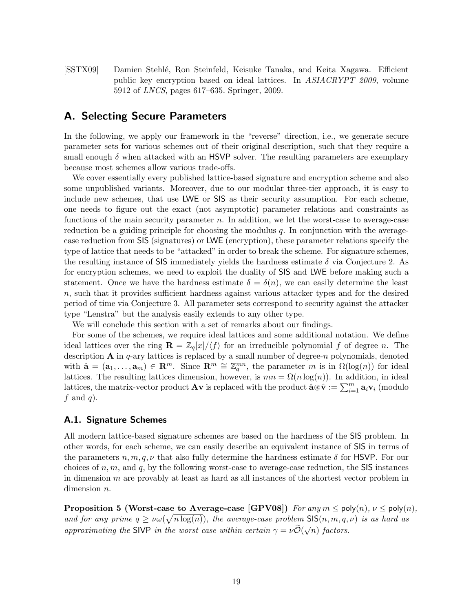[SSTX09] Damien Stehl´e, Ron Steinfeld, Keisuke Tanaka, and Keita Xagawa. Efficient public key encryption based on ideal lattices. In ASIACRYPT 2009, volume 5912 of LNCS, pages 617–635. Springer, 2009.

## A. Selecting Secure Parameters

In the following, we apply our framework in the "reverse" direction, i.e., we generate secure parameter sets for various schemes out of their original description, such that they require a small enough  $\delta$  when attacked with an HSVP solver. The resulting parameters are exemplary because most schemes allow various trade-offs.

We cover essentially every published lattice-based signature and encryption scheme and also some unpublished variants. Moreover, due to our modular three-tier approach, it is easy to include new schemes, that use LWE or SIS as their security assumption. For each scheme, one needs to figure out the exact (not asymptotic) parameter relations and constraints as functions of the main security parameter  $n$ . In addition, we let the worst-case to average-case reduction be a guiding principle for choosing the modulus  $q$ . In conjunction with the averagecase reduction from SIS (signatures) or LWE (encryption), these parameter relations specify the type of lattice that needs to be "attacked" in order to break the scheme. For signature schemes, the resulting instance of SIS immediately yields the hardness estimate  $\delta$  via Conjecture 2. As for encryption schemes, we need to exploit the duality of SIS and LWE before making such a statement. Once we have the hardness estimate  $\delta = \delta(n)$ , we can easily determine the least n, such that it provides sufficient hardness against various attacker types and for the desired period of time via Conjecture 3. All parameter sets correspond to security against the attacker type "Lenstra" but the analysis easily extends to any other type.

We will conclude this section with a set of remarks about our findings.

For some of the schemes, we require ideal lattices and some additional notation. We define ideal lattices over the ring  $\mathbf{R} = \mathbb{Z}_q[x]/\langle f \rangle$  for an irreducible polynomial f of degree n. The description  $A$  in q-ary lattices is replaced by a small number of degree-n polynomials, denoted with  $\hat{\mathbf{a}} = (\mathbf{a}_1, \ldots, \mathbf{a}_m) \in \mathbb{R}^m$ . Since  $\mathbb{R}^m \cong \mathbb{Z}_q^{mn}$ , the parameter m is in  $\Omega(\log(n))$  for ideal lattices. The resulting lattices dimension, however, is  $mn = \Omega(n \log(n))$ . In addition, in ideal lattices, the matrix-vector product  $Av$  is replaced with the product  $\hat{\mathbf{a}} \circledast \hat{\mathbf{v}} := \sum_{i=1}^{m} \mathbf{a}_i \mathbf{v}_i$  (modulo  $f$  and  $q$ ).

#### A.1. Signature Schemes

All modern lattice-based signature schemes are based on the hardness of the SIS problem. In other words, for each scheme, we can easily describe an equivalent instance of SIS in terms of the parameters  $n, m, q, \nu$  that also fully determine the hardness estimate  $\delta$  for HSVP. For our choices of  $n, m$ , and  $q$ , by the following worst-case to average-case reduction, the SIS instances in dimension  $m$  are provably at least as hard as all instances of the shortest vector problem in dimension *n*.

**Proposition 5 (Worst-case to Average-case [GPV08])** For any  $m \leq \text{poly}(n)$ ,  $\nu \leq \text{poly}(n)$ , and for any prime  $q \geq \nu \omega(\sqrt{n \log(n)})$ , the average-case problem SIS $(n, m, q, \nu)$  is as hard as approximating the SIVP in the worst case within certain  $\gamma = \nu \tilde{O}(\sqrt{n})$  factors.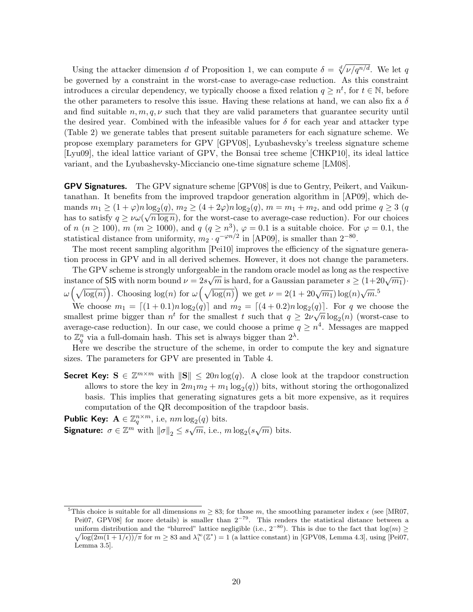Using the attacker dimension d of Proposition 1, we can compute  $\delta = \sqrt[d]{\nu/q^{n/d}}$ . We let q be governed by a constraint in the worst-case to average-case reduction. As this constraint introduces a circular dependency, we typically choose a fixed relation  $q \geq n^t$ , for  $t \in \mathbb{N}$ , before the other parameters to resolve this issue. Having these relations at hand, we can also fix a  $\delta$ and find suitable  $n, m, q, \nu$  such that they are valid parameters that guarantee security until the desired year. Combined with the infeasible values for  $\delta$  for each year and attacker type (Table 2) we generate tables that present suitable parameters for each signature scheme. We propose exemplary parameters for GPV [GPV08], Lyubashevsky's treeless signature scheme [Lyu09], the ideal lattice variant of GPV, the Bonsai tree scheme [CHKP10], its ideal lattice variant, and the Lyubashevsky-Micciancio one-time signature scheme [LM08].

GPV Signatures. The GPV signature scheme [GPV08] is due to Gentry, Peikert, and Vaikuntanathan. It benefits from the improved trapdoor generation algorithm in [AP09], which demands  $m_1 \geq (1+\varphi)n \log_2(q), m_2 \geq (4+2\varphi)n \log_2(q), m = m_1+m_2$ , and odd prime  $q \geq 3$  (q has to satisfy  $q \geq \nu \omega(\sqrt{n \log n})$ , for the worst-case to average-case reduction). For our choices of n  $(n \ge 100)$ , m  $(m \ge 1000)$ , and  $q (q \ge n^3)$ ,  $\varphi = 0.1$  is a suitable choice. For  $\varphi = 0.1$ , the statistical distance from uniformity,  $m_2 \cdot q^{-\varphi n/2}$  in [AP09], is smaller than  $2^{-80}$ .

The most recent sampling algorithm [Pei10] improves the efficiency of the signature generation process in GPV and in all derived schemes. However, it does not change the parameters.

The GPV scheme is strongly unforgeable in the random oracle model as long as the respective  $\sim$ instance of SIS with norm bound  $\nu = 2s\sqrt{m}$  is hard, for a Gaussian parameter  $s \ge (1+20\sqrt{m_1})$ .  $\omega\left(\sqrt{\log(n)}\right)$ . Choosing  $\log(n)$  for  $\omega\left(\sqrt{\log(n)}\right)$  we get  $\nu = 2(1+20\sqrt{m_1})\log(n)\sqrt{m}$ .<sup>5</sup>

We choose  $m_1 = \lfloor (1 + 0.1)n \log_2(q) \rfloor$  and  $m_2 = \lfloor (4 + 0.2)n \log_2(q) \rfloor$ . For q we choose the smallest prime bigger than  $n^t$  for the smallest t such that  $q \geq 2\nu\sqrt{n}\log_2(n)$  (worst-case to average-case reduction). In our case, we could choose a prime  $q \geq n^4$ . Messages are mapped to  $\mathbb{Z}_q^n$  via a full-domain hash. This set is always bigger than  $2^{\lambda}$ .

Here we describe the structure of the scheme, in order to compute the key and signature sizes. The parameters for GPV are presented in Table 4.

Secret Key:  $S \in \mathbb{Z}^{m \times m}$  with  $||S|| \leq 20n \log(q)$ . A close look at the trapdoor construction allows to store the key in  $2m_1m_2 + m_1 \log_2(q)$  bits, without storing the orthogonalized basis. This implies that generating signatures gets a bit more expensive, as it requires computation of the QR decomposition of the trapdoor basis.

**Public Key:**  $A \in \mathbb{Z}_q^{n \times m}$ , i.e,  $nm \log_2(q)$  bits. Signature:  $\sigma \in \mathbb{Z}^m$  with  $\|\sigma\|_2 \leq s\sqrt{m}$ , i.e.,  $m \log_2(s\sqrt{m})$  bits.

<sup>&</sup>lt;sup>5</sup>This choice is suitable for all dimensions  $m \geq 83$ ; for those m, the smoothing parameter index  $\epsilon$  (see [MR07, Pei07, GPV08| for more details) is smaller than 2<sup>-79</sup>. This renders the statistical distance between a uniform distribution and the "blurred" lattice negligible (i.e.,  $2^{-80}$ ). This is due to the fact that  $\log(m) \ge$  $\sqrt{\log(2m(1+1/\epsilon))/\pi}$  for  $m \geq 83$  and  $\lambda_1^{\infty}(\mathbb{Z}^*) = 1$  (a lattice constant) in [GPV08, Lemma 4.3], using [Pei07, Lemma 3.5].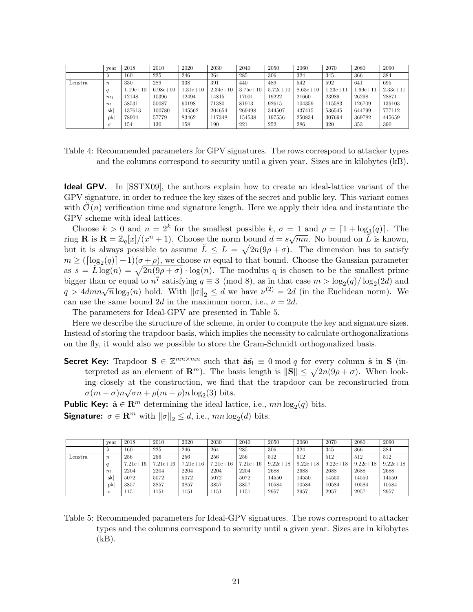|         | vear             | 2018         | 2010          | 2020         | 2030       | 2040         | 2050       | 2060         | 2070         | 2080         | 2090         |
|---------|------------------|--------------|---------------|--------------|------------|--------------|------------|--------------|--------------|--------------|--------------|
|         |                  | 160          | 225           | 246          | 264        | 285          | 306        | 324          | 345          | 366          | 384          |
| Lenstra | $\boldsymbol{n}$ | 330          | 289           | 338          | 391        | 440          | 489        | 542          | 592          | 641          | 695          |
|         |                  | $1.19e + 10$ | $6.98e + 0.9$ | $1.31e + 10$ | $2.34e+10$ | $3.75e + 10$ | $5.72e+10$ | $8.63e + 10$ | $1.23e + 11$ | $1.69e + 11$ | $2.33e + 11$ |
|         | m <sub>1</sub>   | 12148        | 10396         | 12494        | 14815      | 17001        | 19222      | 21660        | 23989        | 26298        | 28871        |
|         | $\boldsymbol{m}$ | 58531        | 50087         | 60198        | 71380      | 81913        | 92615      | 104359       | 115583       | 126709       | 139103       |
|         | sk               | 137613       | 100780        | 145562       | 204654     | 269498       | 344507     | 437415       | 536545       | 644799       | 777112       |
|         | pk               | 78904        | 57779         | 83462        | 117348     | 154538       | 197556     | 250834       | 307694       | 369782       | 445659       |
|         | $\sigma$         | 154          | 130           | 158          | 190        | 221          | 252        | 286          | 320          | 353          | 390          |

Table 4: Recommended parameters for GPV signatures. The rows correspond to attacker types and the columns correspond to security until a given year. Sizes are in kilobytes (kB).

Ideal GPV. In [SSTX09], the authors explain how to create an ideal-lattice variant of the GPV signature, in order to reduce the key sizes of the secret and public key. This variant comes with  $\mathcal{O}(n)$  verification time and signature length. Here we apply their idea and instantiate the GPV scheme with ideal lattices.

Choose  $k > 0$  and  $n = 2^k$  for the smallest possible k,  $\sigma = 1$  and  $\rho = \lceil 1 + \log_3(q) \rceil$ . The choose  $\kappa > 0$  and  $n = 2$  for the smallest possible  $\kappa$ ,  $\delta = 1$  and  $\rho = |1 + \log_3(q)|$ . The ring **R** is  $\mathbf{R} = \mathbb{Z}_q[x]/(x^n + 1)$ . Choose the norm bound  $d = s\sqrt{mn}$ . No bound on  $\tilde{L}$  is known, but it is always possible to assume  $\tilde{L} \leq L = \sqrt{2n(9\rho + \sigma)}$ . The dimension has to satisfy  $m \geq (\lceil \log_2(q) \rceil + 1)(\sigma + \rho)$ , we choose m equal to that bound. Choose the Gaussian parameter as  $s = \tilde{L} \log(n) = \sqrt{2n(9\rho + \sigma)} \cdot \log(n)$ . The modulus q is chosen to be the smallest prime bigger than or equal to  $n^7$  satisfying  $q \equiv 3 \pmod{8}$ , as in that case  $m > \log_2(q)/\log_2(2d)$  and  $q > 4dmn\sqrt{n}\log_2(n)$  hold. With  $\|\sigma\|_2 \leq d$  we have  $\nu^{(2)} = 2d$  (in the Euclidean norm). We can use the same bound 2d in the maximum norm, i.e.,  $\nu = 2d$ .

The parameters for Ideal-GPV are presented in Table 5.

Here we describe the structure of the scheme, in order to compute the key and signature sizes. Instead of storing the trapdoor basis, which implies the necessity to calculate orthogonalizations on the fly, it would also we possible to store the Gram-Schmidt orthogonalized basis.

**Secret Key:** Trapdoor  $S \in \mathbb{Z}^{mn \times mn}$  such that  $\hat{a}\hat{s_i} \equiv 0 \mod q$  for every column  $\hat{s}$  in S (interpreted as an element of  $\mathbf{R}^m$ ). The basis length is  $\|\mathbf{S}\| \leq \sqrt{2n(9\rho + \sigma)}$ . When looking closely at the construction, we find that the trapdoor can be reconstructed from  $\sigma(m-\sigma)n\sqrt{\sigma n} + \rho(m-\rho)n\log_2(3)$  bits.

**Public Key:**  $\hat{\mathbf{a}} \in \mathbb{R}^m$  determining the ideal lattice, i.e.,  $mn \log_2(q)$  bits. **Signature:**  $\sigma \in \mathbb{R}^m$  with  $\|\sigma\|_2 \leq d$ , i.e.,  $mn \log_2(d)$  bits.

|         | vear             | 2018         | 2010         | 2020         | 2030       | 2040         | 2050         | 2060         | 2070         | 2080         | 2090       |
|---------|------------------|--------------|--------------|--------------|------------|--------------|--------------|--------------|--------------|--------------|------------|
|         |                  | 160          | 225          | 246          | 264        | 285          | 306          | 324          | 345          | 366          | 384        |
| Lenstra | $\boldsymbol{n}$ | 256          | 256          | 256          | 256        | 256          | 512          | 512          | 512          | 512          | 512        |
|         |                  | $7.21e + 16$ | $7.21e + 16$ | $7.21e + 16$ | $7.21e+16$ | $7.21e + 16$ | $9.22e + 18$ | $9.22e + 18$ | $9.22e + 18$ | $9.22e + 18$ | $9.22e+18$ |
|         | m                | 2204         | 2204         | 2204         | 2204       | 2204         | 2688         | 2688         | 2688         | 2688         | 2688       |
|         | sk               | 5072         | 5072         | 5072         | 5072       | 5072         | 14550        | 14550        | 14550        | 14550        | 14550      |
|         | pk               | 3857         | 3857         | 3857         | 3857       | 3857         | 10584        | 10584        | 10584        | 10584        | 10584      |
|         | $\sigma$         | 1151         | 1151         | 1151         | 1151       | 1151         | 2957         | 2957         | 2957         | 2957         | 2957       |

Table 5: Recommended parameters for Ideal-GPV signatures. The rows correspond to attacker types and the columns correspond to security until a given year. Sizes are in kilobytes  $(kB)$ .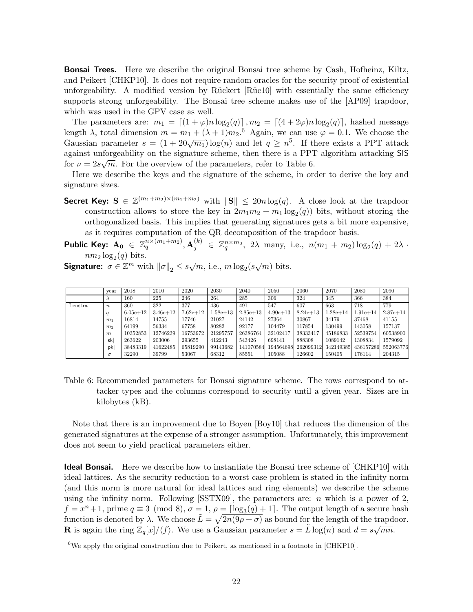**Bonsai Trees.** Here we describe the original Bonsai tree scheme by Cash, Hofheinz, Kiltz, and Peikert [CHKP10]. It does not require random oracles for the security proof of existential unforgeability. A modified version by Rückert  $\lbrack \text{Rücl}0 \rbrack$  with essentially the same efficiency supports strong unforgeability. The Bonsai tree scheme makes use of the [AP09] trapdoor, which was used in the GPV case as well.

The parameters are:  $m_1 = \lfloor (1 + \varphi)n \log_2(q) \rfloor, m_2 = \lfloor (4 + 2\varphi)n \log_2(q) \rfloor$ , hashed message length  $\lambda$ , total dimension  $m = m_1 + (\lambda + 1)m_2$ .<sup>6</sup> Again, we can use  $\varphi = 0.1$ . We choose the Gaussian parameter  $s = (1 + 20\sqrt{m_1})\log(n)$  and let  $q \geq n^5$ . If there exists a PPT attack against unforgeability on the signature scheme, then there is a PPT algorithm attacking SIS for  $\nu = 2s\sqrt{m}$ . For the overview of the parameters, refer to Table 6.

Here we describe the keys and the signature of the scheme, in order to derive the key and signature sizes.

- **Secret Key:**  $S \in \mathbb{Z}^{(m_1+m_2)\times(m_1+m_2)}$  with  $||S|| \leq 20n \log(q)$ . A close look at the trapdoor construction allows to store the key in  $2m_1m_2 + m_1 \log_2(q)$  bits, without storing the orthogonalized basis. This implies that generating signatures gets a bit more expensive, as it requires computation of the QR decomposition of the trapdoor basis.
- **Public Key:**  $A_0 \in \mathbb{Z}_q^{n \times (m_1+m_2)}$ ,  $A_j^{(k)} \in \mathbb{Z}_q^{n \times m_2}$ , 2 $\lambda$  many, i.e.,  $n(m_1 + m_2) \log_2(q) + 2\lambda$ .  $nm_2 \log_2(q)$  bits.

**Signature:**  $\sigma \in \mathbb{Z}^m$  with  $\|\sigma\|_2 \leq s\sqrt{m}$ , i.e.,  $m \log_2(s\sqrt{m})$  bits.

|         | vear             | 2018         | 2010         | 2020         | 2030         | 2040         | 2050         | 2060         | 2070         | 2080         | 2090         |
|---------|------------------|--------------|--------------|--------------|--------------|--------------|--------------|--------------|--------------|--------------|--------------|
|         |                  | 160          | 225          | 246          | 264          | 285          | 306          | 324          | 345          | 366          | 384          |
| Lenstra | $\boldsymbol{n}$ | 360          | 322          | 377          | 436          | 491          | 547          | 607          | 663          | 718          | 779          |
|         |                  | $6.05e + 12$ | $3.46e + 12$ | $7.62e + 12$ | $1.58e + 13$ | $2.85e + 13$ | $4.90e + 13$ | $8.24e + 13$ | $1.28e + 14$ | $1.91e + 14$ | $2.87e + 14$ |
|         | m <sub>1</sub>   | 16814        | 14755        | 17746        | 21027        | 24142        | 27364        | 30867        | 34179        | 37468        | 41155        |
|         | m <sub>2</sub>   | 64199        | 56334        | 67758        | 80282        | 92177        | 104479       | 117854       | 130499       | 143058       | 157137       |
|         | m                | 10352853     | 12746239     | 16753972     | 21295757     | 26386764     | 32102417     | 38333417     | 45186833     | 52539754     | 60538900     |
|         | sk               | 263622       | 203006       | 293655       | 412243       | 543426       | 698141       | 888308       | 1089142      | 1308834      | 1579092      |
|         | pk               | 38483319     | 41622485     | 65819290     | 99143682     | 141070584    | 194564698    | 262099312    | 342149385    | 436157286    | 552063776    |
|         | $\sigma$         | 32290        | 39799        | 53067        | 68312        | 85551        | 105088       | 126602       | 150405       | 176114       | 204315       |

Table 6: Recommended parameters for Bonsai signature scheme. The rows correspond to attacker types and the columns correspond to security until a given year. Sizes are in kilobytes (kB).

Note that there is an improvement due to Boyen [Boy10] that reduces the dimension of the generated signatures at the expense of a stronger assumption. Unfortunately, this improvement does not seem to yield practical parameters either.

Ideal Bonsai. Here we describe how to instantiate the Bonsai tree scheme of [CHKP10] with ideal lattices. As the security reduction to a worst case problem is stated in the infinity norm (and this norm is more natural for ideal lattices and ring elements) we describe the scheme using the infinity norm. Following  $[**STX09**]$ , the parameters are: *n* which is a power of 2,  $f = x^{n} + 1$ , prime  $q \equiv 3 \pmod{8}$ ,  $\sigma = 1$ ,  $\rho = \lceil \log_3(q) + 1 \rceil$ . The output length of a secure hash function is denoted by  $\lambda$ . We choose  $\tilde{L} = \sqrt{2n(9\rho + \sigma)}$  as bound for the length of the trapdoor. **R** is again the ring  $\mathbb{Z}_q[x]/\langle f \rangle$ . We use a Gaussian parameter  $s = \tilde{L} \log(n)$  and  $d = s\sqrt{mn}$ .

 $6$ We apply the original construction due to Peikert, as mentioned in a footnote in [CHKP10].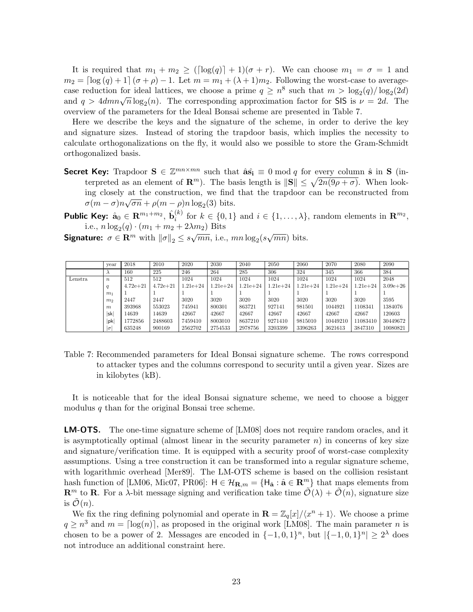It is required that  $m_1 + m_2 \geq (\log(q)) + 1)(\sigma + r)$ . We can choose  $m_1 = \sigma = 1$  and  $m_2 = \left[ \log (q) + 1 \right] (\sigma + \rho) - 1$ . Let  $m = m_1 + (\lambda + 1)m_2$ . Following the worst-case to averagecase reduction for ideal lattices, we choose a prime  $q \geq n^8$  such that  $m > \log_2(q)/\log_2(2d)$ case reduction for ideal lattices, we choose a prime  $q \ge n$  such that  $m > \log_2(q)/\log_2(2a)$ <br>and  $q > 4dmn\sqrt{n}\log_2(n)$ . The corresponding approximation factor for SIS is  $\nu = 2d$ . The overview of the parameters for the Ideal Bonsai scheme are presented in Table 7.

Here we describe the keys and the signature of the scheme, in order to derive the key and signature sizes. Instead of storing the trapdoor basis, which implies the necessity to calculate orthogonalizations on the fly, it would also we possible to store the Gram-Schmidt orthogonalized basis.

Secret Key: Trapdoor  $S \in \mathbb{Z}^{mn \times mn}$  such that  $\hat{a}\hat{s_i} \equiv 0 \mod q$  for every column  $\hat{s}$  in S (interpreted as an element of  $\mathbf{R}^m$ ). The basis length is  $\|\mathbf{S}\| \leq \sqrt{2n(9\rho + \sigma)}$ . When looking closely at the construction, we find that the trapdoor can be reconstructed from  $\sigma(m-\sigma)n\sqrt{\sigma n} + \rho(m-\rho)n\log_2(3)$  bits.

Public Key:  $\hat{\mathbf{a}}_0 \in \mathbf{R}^{m_1 + m_2}, \, \hat{\mathbf{b}}_i^{(k)}$  $i^{(k)}$  for  $k \in \{0,1\}$  and  $i \in \{1,\ldots,\lambda\}$ , random elements in  $\mathbb{R}^{m_2}$ , i.e.,  $n \log_2(q) \cdot (m_1 + m_2 + 2\lambda m_2)$  Bits

**Signature:**  $\sigma \in \mathbf{R}^m$  with  $\|\sigma\|_2 \leq s\sqrt{mn}$ , i.e.,  $mn \log_2(s\sqrt{mn})$  bits.

|         | vear             | 2018         | 2010         | 2020         | 2030         | 2040         | 2050         | 2060         | 2070         | 2080         | 2090         |
|---------|------------------|--------------|--------------|--------------|--------------|--------------|--------------|--------------|--------------|--------------|--------------|
|         | $\lambda$        | 160          | 225          | 246          | 264          | 285          | 306          | 324          | 345          | 366          | 384          |
| Lenstra | $\boldsymbol{n}$ | 512          | 512          | 1024         | 1024         | 1024         | 1024         | 1024         | 1024         | 1024         | 2048         |
|         | $\boldsymbol{q}$ | $4.72e + 21$ | $4.72e + 21$ | $1.21e + 24$ | $1.21e + 24$ | $1.21e + 24$ | $1.21e + 24$ | $1.21e + 24$ | $1.21e + 24$ | $1.21e + 24$ | $3.09e + 26$ |
|         | m <sub>1</sub>   |              |              |              |              |              |              |              |              |              |              |
|         | m <sub>2</sub>   | 2447         | 2447         | 3020         | 3020         | 3020         | 3020         | 3020         | 3020         | 3020         | 3595         |
|         | $\boldsymbol{m}$ | 393968       | 553023       | 745941       | 800301       | 863721       | 927141       | 981501       | 1044921      | 1108341      | 1384076      |
|         | lskl             | 14639        | 14639        | 42667        | 42667        | 42667        | 42667        | 42667        | 42667        | 42667        | 120603       |
|         | pk               | 1772856      | 2488603      | 7459410      | 8003010      | 8637210      | 9271410      | 9815010      | 10449210     | 11083410     | 30449672     |
|         | $ \sigma $       | 635248       | 900169       | 2562702      | 2754533      | 2978756      | 3203399      | 3396263      | 3621613      | 3847310      | 10080821     |

Table 7: Recommended parameters for Ideal Bonsai signature scheme. The rows correspond to attacker types and the columns correspond to security until a given year. Sizes are in kilobytes (kB).

It is noticeable that for the ideal Bonsai signature scheme, we need to choose a bigger modulus  $q$  than for the original Bonsai tree scheme.

LM-OTS. The one-time signature scheme of [LM08] does not require random oracles, and it is asymptotically optimal (almost linear in the security parameter  $n$ ) in concerns of key size and signature/verification time. It is equipped with a security proof of worst-case complexity assumptions. Using a tree construction it can be transformed into a regular signature scheme, with logarithmic overhead [Mer89]. The LM-OTS scheme is based on the collision resistant hash function of [LM06, Mic07, PR06]:  $H \in \mathcal{H}_{\mathbf{R},m} = \{H_{\hat{\mathbf{a}}}: \hat{\mathbf{a}} \in \mathbf{R}^m\}$  that maps elements from  $\mathbf{R}^m$  to  $\mathbf{R}$ . For a  $\lambda$ -bit message signing and verification take time  $\mathcal{O}(\lambda) + \mathcal{O}(n)$ , signature size is  $\mathcal{O}(n)$ .

We fix the ring defining polynomial and operate in  $\mathbf{R} = \mathbb{Z}_q[x]/\langle x^n + 1 \rangle$ . We choose a prime  $q \geq n^3$  and  $m = \lceil \log(n) \rceil$ , as proposed in the original work [LM08]. The main parameter n is chosen to be a power of 2. Messages are encoded in  $\{-1,0,1\}^n$ , but  $|\{-1,0,1\}^n| \geq 2^{\lambda}$  does not introduce an additional constraint here.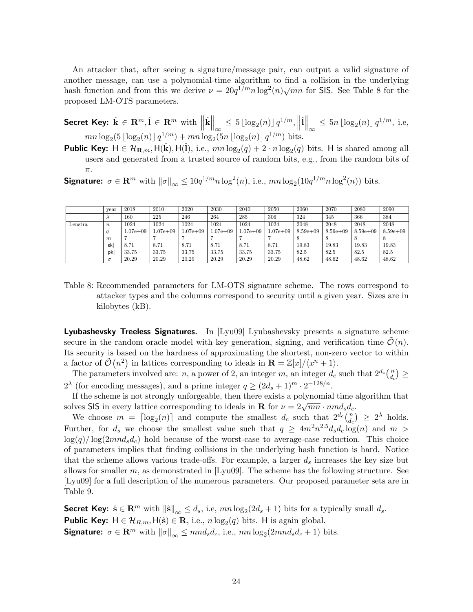An attacker that, after seeing a signature/message pair, can output a valid signature of another message, can use a polynomial-time algorithm to find a collision in the underlying another message, can use a polynomial-time algorithm to find a consion in the underlying<br>hash function and from this we derive  $\nu = 20q^{1/m} n \log^2(n) \sqrt{mn}$  for SIS. See Table 8 for the proposed LM-OTS parameters.

**Secret Key:**  $\hat{\mathbf{k}} \in \mathbf{R}^m, \hat{\mathbf{l}} \in \mathbf{R}^m$  with  $\Big\|$  $\hat{\mathbf{k}}\Big\|_{\infty} \leq 5 \lfloor \log_2(n) \rfloor q^{1/m}, \Big\|$  $\hat{\mathbf{l}}\Big\|_{\infty} \leq 5n \lfloor \log_2(n) \rfloor q^{1/m}, \text{ i.e, }$  $mn \log_2(5 \lfloor \log_2(n) \rfloor q^{1/m}) + mn \log_2(5n \lfloor \log_2(n) \rfloor q^{1/m})$  bits.

**Public Key:**  $H \in \mathcal{H}_{\mathbf{R},m}$ ,  $H(\hat{\mathbf{k}})$ ,  $H(\hat{\mathbf{l}})$ , i.e.,  $mn \log_2(q) + 2 \cdot n \log_2(q)$  bits. H is shared among all users and generated from a trusted source of random bits, e.g., from the random bits of π.

**Signature:**  $\sigma \in \mathbb{R}^m$  with  $\|\sigma\|_{\infty} \leq 10q^{1/m}n \log^2(n)$ , i.e.,  $mn \log_2(10q^{1/m}n \log^2(n))$  bits.

|         | vear             | 2018          | 2010          | 2020         | 2030          | 2040          | 2050          | 2060        | 2070        | 2080        | 2090        |
|---------|------------------|---------------|---------------|--------------|---------------|---------------|---------------|-------------|-------------|-------------|-------------|
|         |                  | 160           | 225           | 246          | 264           | 285           | 306           | 324         | 345         | 366         | 384         |
| Lenstra | $\boldsymbol{n}$ | 1024          | 1024          | 1024         | 1024          | 1024          | 1024          | 2048        | 2048        | 2048        | 2048        |
|         |                  | $1.07e + 0.9$ | $1.07e + 0.9$ | $1.07e + 09$ | $1.07e + 0.9$ | $1.07e + 0.9$ | $1.07e + 0.9$ | $8.59e+0.9$ | $8.59e+0.9$ | $8.59e+0.9$ | $8.59e+0.9$ |
|         | $\boldsymbol{m}$ |               |               |              |               |               |               |             |             |             |             |
|         | sk               | 8.71          | 8.71          | 8.71         | 8.71          | 8.71          | 8.71          | 19.83       | 19.83       | 19.83       | 19.83       |
|         | pk               | 33.75         | 33.75         | 33.75        | 33.75         | 33.75         | 33.75         | 82.5        | 82.5        | 82.5        | 82.5        |
|         | $\sigma$         | 20.29         | 20.29         | 20.29        | 20.29         | 20.29         | 20.29         | 48.62       | 48.62       | 48.62       | 48.62       |

Table 8: Recommended parameters for LM-OTS signature scheme. The rows correspond to attacker types and the columns correspond to security until a given year. Sizes are in kilobytes (kB).

Lyubashevsky Treeless Signatures. In [Lyu09] Lyubashevsky presents a signature scheme secure in the random oracle model with key generation, signing, and verification time  $\mathcal{O}(n)$ . Its security is based on the hardness of approximating the shortest, non-zero vector to within a factor of  $\tilde{\mathcal{O}}(n^2)$  in lattices corresponding to ideals in  $\mathbf{R} = \mathbb{Z}[x]/\langle x^n + 1 \rangle$ .

The parameters involved are: n, a power of 2, an integer m, an integer  $d_c$  such that  $2^{d_c}\binom{n}{d_c}$  $\binom{n}{d_c} \geq$  $2^{\lambda}$  (for encoding messages), and a prime integer  $q \geq (2d_s+1)^m \cdot 2^{-128/n}$ .

If the scheme is not strongly unforgeable, then there exists a polynomial time algorithm that If the scheme is not strongly unlorgeable, then there exists a polynomial time as<br>solves SIS in every lattice corresponding to ideals in **R** for  $\nu = 2\sqrt{mn} \cdot nmd_s d_c$ .

We choose  $m = \lceil \log_2(n) \rceil$  and compute the smallest  $d_c$  such that  $2^{d_c}\binom{n}{d_c}$  $\binom{n}{d_c} \geq 2^{\lambda}$  holds. Further, for  $d_s$  we choose the smallest value such that  $q \geq 4m^2n^{2.5}d_s d_c \log(n)$  and  $m >$  $log(q)/log(2mnd_s d_c)$  hold because of the worst-case to average-case reduction. This choice of parameters implies that finding collisions in the underlying hash function is hard. Notice that the scheme allows various trade-offs. For example, a larger  $d_s$  increases the key size but allows for smaller  $m$ , as demonstrated in [Lyu09]. The scheme has the following structure. See [Lyu09] for a full description of the numerous parameters. Our proposed parameter sets are in Table 9.

**Secret Key:**  $\hat{\mathbf{s}} \in \mathbb{R}^m$  with  $\|\hat{\mathbf{s}}\|_{\infty} \leq d_s$ , i.e,  $mn \log_2(2d_s + 1)$  bits for a typically small  $d_s$ . **Public Key:**  $H \in \mathcal{H}_{R,m}$ ,  $H(\hat{\mathbf{s}}) \in \mathbf{R}$ , i.e.,  $n \log_2(q)$  bits. H is again global. **Signature:**  $\sigma \in \mathbb{R}^m$  with  $\|\sigma\|_{\infty} \leq mnd_s d_c$ , i.e.,  $mn \log_2(2mnd_s d_c + 1)$  bits.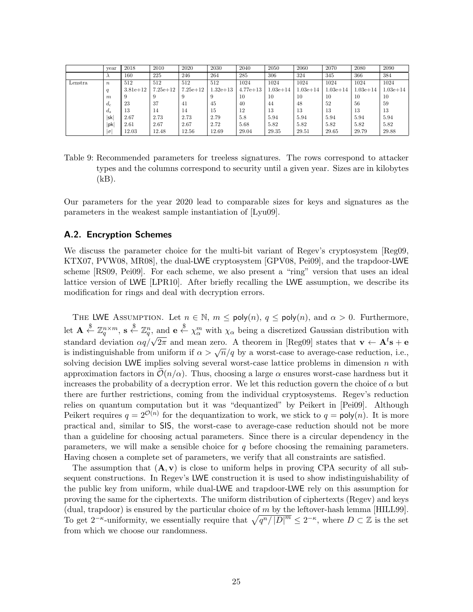|         | vear             | 2018       | 2010         | 2020         | 2030         | 2040         | 2050         | 2060         | 2070         | 2080         | 2090         |
|---------|------------------|------------|--------------|--------------|--------------|--------------|--------------|--------------|--------------|--------------|--------------|
|         | $\lambda$        | 160        | 225          | 246          | 264          | 285          | 306          | 324          | 345          | 366          | 384          |
| Lenstra | $\boldsymbol{n}$ | 512        | 512          | 512          | 512          | 1024         | 1024         | 1024         | 1024         | 1024         | 1024         |
|         |                  | $3.81e+12$ | $7.25e + 12$ | $7.25e + 12$ | $1.32e + 13$ | $4.77e + 13$ | $1.03e + 14$ | $1.03e + 14$ | $1.03e + 14$ | $1.03e + 14$ | $1.03e + 14$ |
|         | m                |            |              |              | 9            | 10           | 10           | 10           | 10           | 10           | 10           |
|         | $d_c$            | 23         | 37           | 41           | 45           | 40           | 44           | 48           | 52           | 56           | 59           |
|         | $d_s$            | 13         | 14           | 14           | 15           | 12           | 13           | 13           | 13           | 13           | 13           |
|         | sk               | 2.67       | 2.73         | 2.73         | 2.79         | 5.8          | 5.94         | 5.94         | 5.94         | 5.94         | 5.94         |
|         | pk               | 2.61       | 2.67         | 2.67         | 2.72         | 5.68         | 5.82         | 5.82         | 5.82         | 5.82         | 5.82         |
|         | $ \sigma $       | 12.03      | 12.48        | 12.56        | 12.69        | 29.04        | 29.35        | 29.51        | 29.65        | 29.79        | 29.88        |

Table 9: Recommended parameters for treeless signatures. The rows correspond to attacker types and the columns correspond to security until a given year. Sizes are in kilobytes  $(kB)$ .

Our parameters for the year 2020 lead to comparable sizes for keys and signatures as the parameters in the weakest sample instantiation of [Lyu09].

#### A.2. Encryption Schemes

We discuss the parameter choice for the multi-bit variant of Regev's cryptosystem [Reg09, KTX07, PVW08, MR08], the dual-LWE cryptosystem [GPV08, Pei09], and the trapdoor-LWE scheme [RS09, Pei09]. For each scheme, we also present a "ring" version that uses an ideal lattice version of LWE [LPR10]. After briefly recalling the LWE assumption, we describe its modification for rings and deal with decryption errors.

THE LWE ASSUMPTION. Let  $n \in \mathbb{N}$ ,  $m \leq \text{poly}(n)$ ,  $q \leq \text{poly}(n)$ , and  $\alpha > 0$ . Furthermore, let  $\mathbf{A} \stackrel{\$}{\leftarrow} \mathbb{Z}_q^{n \times m}$ ,  $\mathbf{s} \stackrel{\$}{\leftarrow} \mathbb{Z}_q^n$ , and  $\mathbf{e} \stackrel{\$}{\leftarrow} \chi_\alpha^m$  with  $\chi_\alpha$  being a discretized Gaussian distribution with standard deviation  $\alpha q/\sqrt{2\pi}$  and mean zero. A theorem in [Reg09] states that  $\mathbf{v} \leftarrow \mathbf{A}^t \mathbf{s} + \mathbf{e}$ standard deviation  $\frac{\partial q}{\partial x}$  and mean zero. A theorem in [regos] states that  $\mathbf{v} \leftarrow \mathbf{A} \mathbf{s} + \mathbf{e}$ <br>is indistinguishable from uniform if  $\alpha > \sqrt{n}/q$  by a worst-case to average-case reduction, i.e., solving decision LWE implies solving several worst-case lattice problems in dimension  $n$  with approximation factors in  $\mathcal{O}(n/\alpha)$ . Thus, choosing a large  $\alpha$  ensures worst-case hardness but it increases the probability of a decryption error. We let this reduction govern the choice of  $\alpha$  but there are further restrictions, coming from the individual cryptosystems. Regev's reduction relies on quantum computation but it was "dequantized" by Peikert in [Pei09]. Although Peikert requires  $q = 2^{\mathcal{O}(n)}$  for the dequantization to work, we stick to  $q = \text{poly}(n)$ . It is more practical and, similar to SIS, the worst-case to average-case reduction should not be more than a guideline for choosing actual parameters. Since there is a circular dependency in the parameters, we will make a sensible choice for q before choosing the remaining parameters. Having chosen a complete set of parameters, we verify that all constraints are satisfied.

The assumption that  $(A, v)$  is close to uniform helps in proving CPA security of all subsequent constructions. In Regev's LWE construction it is used to show indistinguishability of the public key from uniform, while dual-LWE and trapdoor-LWE rely on this assumption for proving the same for the ciphertexts. The uniform distribution of ciphertexts (Regev) and keys (dual, trapdoor) is ensured by the particular choice of  $m$  by the leftover-hash lemma [HILL99]. To get  $2^{-\kappa}$ -uniformity, we essentially require that  $\sqrt{q^n/|D|^m} \leq 2^{-\kappa}$ , where  $D \subset \mathbb{Z}$  is the set from which we choose our randomness.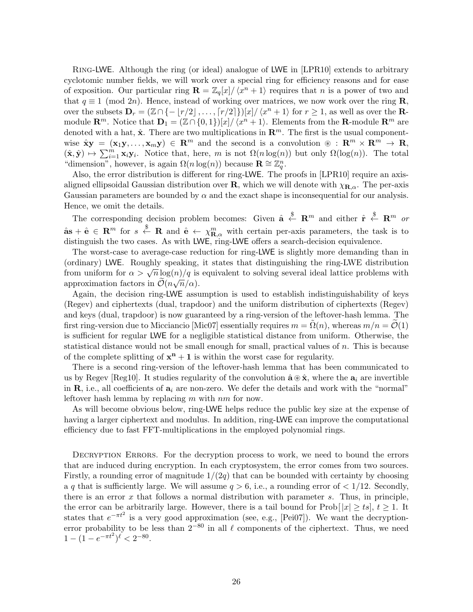Ring-LWE. Although the ring (or ideal) analogue of LWE in [LPR10] extends to arbitrary cyclotomic number fields, we will work over a special ring for efficiency reasons and for ease of exposition. Our particular ring  $\mathbf{R} = \mathbb{Z}_q[x]/\langle x^n + 1 \rangle$  requires that n is a power of two and that  $q \equiv 1 \pmod{2n}$ . Hence, instead of working over matrices, we now work over the ring **R**, over the subsets  $\mathbf{D}_r = (\mathbb{Z} \cap \{-\lfloor r/2 \rfloor, \ldots, \lceil r/2 \rceil\})[x]/\langle x^n + 1 \rangle$  for  $r \geq 1$ , as well as over the **R**module  $\mathbf{R}^m$ . Notice that  $\mathbf{D}_1 = (\mathbb{Z} \cap \{0,1\})[x]/\langle x^n + 1 \rangle$ . Elements from the **R**-module  $\mathbf{R}^m$  are denoted with a hat,  $\hat{\mathbf{x}}$ . There are two multiplications in  $\mathbf{R}^m$ . The first is the usual componentwise  $\mathbf{\hat{x}}\mathbf{y} = (\mathbf{x}_1\mathbf{y}, \dots, \mathbf{x}_m\mathbf{y}) \in \mathbb{R}^m$  and the second is a convolution  $\mathcal{D}: \mathbb{R}^m \times \mathbb{R}^m \to \mathbb{R}$ ,  $(\hat{\mathbf{x}}, \hat{\mathbf{y}}) \mapsto \sum_{i=1}^{m} \mathbf{x}_i \mathbf{y}_i$ . Notice that, here, m is not  $\Omega(n \log(n))$  but only  $\Omega(\log(n))$ . The total "dimension", however, is again  $\Omega(n \log(n))$  because  $\mathbf{R} \cong \mathbb{Z}_q^n$ .

Also, the error distribution is different for ring-LWE. The proofs in [LPR10] require an axisaligned ellipsoidal Gaussian distribution over **R**, which we will denote with  $\chi_{\mathbf{R},\alpha}$ . The per-axis Gaussian parameters are bounded by  $\alpha$  and the exact shape is inconsequential for our analysis. Hence, we omit the details.

The corresponding decision problem becomes: Given  $\hat{\mathbf{a}} \stackrel{\$}{\leftarrow} \mathbf{R}^m$  and either  $\hat{\mathbf{r}} \stackrel{\$}{\leftarrow} \mathbf{R}^m$  or  $\hat{\mathbf{a}}\mathbf{s} + \hat{\mathbf{e}} \in \mathbb{R}^m$  for  $s \stackrel{\$}{\leftarrow} \mathbb{R}$  and  $\hat{\mathbf{e}} \leftarrow \chi^m_{\mathbb{R},\alpha}$  with certain per-axis parameters, the task is to distinguish the two cases. As with LWE, ring-LWE offers a search-decision equivalence.

The worst-case to average-case reduction for ring-LWE is slightly more demanding than in (ordinary) LWE. Roughly speaking, it states that distinguishing the ring-LWE distribution from uniform for  $\alpha > \sqrt{n} \log(n)/q$  is equivalent to solving several ideal lattice problems with approximation factors in  $\mathcal{O}(n\sqrt{n}/\alpha)$ .

Again, the decision ring-LWE assumption is used to establish indistinguishability of keys (Regev) and ciphertexts (dual, trapdoor) and the uniform distribution of ciphertexts (Regev) and keys (dual, trapdoor) is now guaranteed by a ring-version of the leftover-hash lemma. The first ring-version due to Micciancio [Mic07] essentially requires  $m = \Omega(n)$ , whereas  $m/n = \mathcal{O}(1)$ is sufficient for regular LWE for a negligible statistical distance from uniform. Otherwise, the statistical distance would not be small enough for small, practical values of n. This is because of the complete splitting of  $x^n + 1$  is within the worst case for regularity.

There is a second ring-version of the leftover-hash lemma that has been communicated to us by Regev [Reg10]. It studies regularity of the convolution  $\hat{\mathbf{a}} \otimes \hat{\mathbf{x}}$ , where the  $\mathbf{a}_i$  are invertible in  $\mathbf{R}$ , i.e., all coefficients of  $a_i$  are non-zero. We defer the details and work with the "normal" leftover hash lemma by replacing  $m$  with  $nm$  for now.

As will become obvious below, ring-LWE helps reduce the public key size at the expense of having a larger ciphertext and modulus. In addition, ring-LWE can improve the computational efficiency due to fast FFT-multiplications in the employed polynomial rings.

DECRYPTION ERRORS. For the decryption process to work, we need to bound the errors that are induced during encryption. In each cryptosystem, the error comes from two sources. Firstly, a rounding error of magnitude  $1/(2q)$  that can be bounded with certainty by choosing a q that is sufficiently large. We will assume  $q > 6$ , i.e., a rounding error of  $\lt 1/12$ . Secondly, there is an error  $x$  that follows a normal distribution with parameter  $s$ . Thus, in principle, the error can be arbitrarily large. However, there is a tail bound for  $\text{Prob}[ |x| \geq ts], t \geq 1$ . It states that  $e^{-\pi t^2}$  is a very good approximation (see, e.g., [Pei07]). We want the decryptionerror probability to be less than  $2^{-80}$  in all  $\ell$  components of the ciphertext. Thus, we need  $1 - (1 - e^{-\pi t^2})^{\ell} < 2^{-80}.$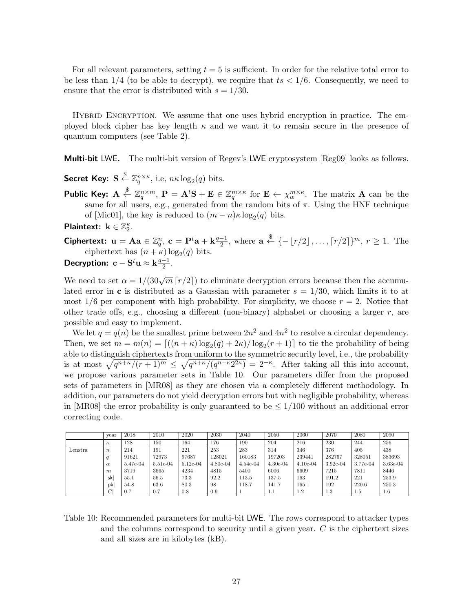For all relevant parameters, setting  $t = 5$  is sufficient. In order for the relative total error to be less than  $1/4$  (to be able to decrypt), we require that  $ts < 1/6$ . Consequently, we need to ensure that the error is distributed with  $s = 1/30$ .

Hybrid Encryption. We assume that one uses hybrid encryption in practice. The employed block cipher has key length  $\kappa$  and we want it to remain secure in the presence of quantum computers (see Table 2).

Multi-bit LWE. The multi-bit version of Regev's LWE cryptosystem [Reg09] looks as follows.

- Secret Key:  $S \stackrel{\$}{\leftarrow} \mathbb{Z}_q^{n \times \kappa}$ , i.e,  $n \kappa \log_2(q)$  bits.
- Public Key:  $\mathbf{A} \stackrel{\$}{\leftarrow} \mathbb{Z}_q^{n \times m}$ ,  $\mathbf{P} = \mathbf{A}^t \mathbf{S} + \mathbf{E} \in \mathbb{Z}_q^{m \times \kappa}$  for  $\mathbf{E} \leftarrow \chi_\alpha^{m \times \kappa}$ . The matrix  $\mathbf{A}$  can be the same for all users, e.g., generated from the random bits of  $\pi$ . Using the HNF technique of [Mic01], the key is reduced to  $(m - n)\kappa \log_2(q)$  bits.

Plaintext:  $\mathbf{k} \in \mathbb{Z}_2^{\kappa}$ .

**Ciphertext:** 
$$
\mathbf{u} = \mathbf{A}\mathbf{a} \in \mathbb{Z}_q^n
$$
,  $\mathbf{c} = \mathbf{P}^t \mathbf{a} + \mathbf{k} \frac{q-1}{2}$ , where  $\mathbf{a} \stackrel{\$}{\leftarrow} \{-\lfloor r/2 \rfloor, \ldots, \lceil r/2 \rceil\}^m$ ,  $r \ge 1$ . The ciphertext has  $(n + \kappa) \log_2(q)$  bits.

**Decryption:** 
$$
c - S^t u \approx k \frac{q-1}{2}
$$
.

We need to set  $\alpha = 1/(30\sqrt{m} \left\lceil {r/2} \right\rceil)$  to eliminate decryption errors because then the accumulated error in c is distributed as a Gaussian with parameter  $s = 1/30$ , which limits it to at most  $1/6$  per component with high probability. For simplicity, we choose  $r = 2$ . Notice that other trade offs, e.g., choosing a different (non-binary) alphabet or choosing a larger  $r$ , are possible and easy to implement.

We let  $q = q(n)$  be the smallest prime between  $2n^2$  and  $4n^2$  to resolve a circular dependency. Then, we set  $m = m(n) = \lfloor ((n + \kappa) \log_2(q) + 2\kappa) / \log_2(r + 1) \rfloor$  to tie the probability of being able to distinguish ciphertexts from uniform to the symmetric security level, i.e., the probability is at most  $\sqrt{q^{n+\kappa}/(r+1)^m} \leq \sqrt{q^{n+\kappa}/(q^{n+\kappa}2^{2\kappa})} = 2^{-\kappa}$ . After taking all this into account, we propose various parameter sets in Table 10. Our parameters differ from the proposed sets of parameters in [MR08] as they are chosen via a completely different methodology. In addition, our parameters do not yield decryption errors but with negligible probability, whereas in [MR08] the error probability is only guaranteed to be  $\leq 1/100$  without an additional error correcting code.

|         | vear             | 2018     | 2010       | 2020       | 2030       | 2040       | 2050       | 2060       | 2070       | 2080     | 2090       |
|---------|------------------|----------|------------|------------|------------|------------|------------|------------|------------|----------|------------|
|         | $\kappa$         | 128      | 150        | 164        | 176        | 190        | 204        | 216        | 230        | 244      | 256        |
| Lenstra | $\boldsymbol{n}$ | 214      | 191        | 221        | 253        | 283        | 314        | 346        | 376        | 405      | 438        |
|         | q                | 91621    | 72973      | 97687      | 128021     | 160183     | 197203     | 239441     | 282767     | 328051   | 383693     |
|         | $\alpha$         | 5.47e-04 | $5.51e-04$ | $5.12e-04$ | $4.80e-04$ | $4.54e-04$ | $4.30e-04$ | $4.10e-04$ | $3.92e-04$ | 3.77e-04 | $3.63e-04$ |
|         | m                | 3719     | 3665       | 4234       | 4815       | 5400       | 6006       | 6609       | 7215       | 7811     | 8446       |
|         | lsk              | 55.1     | 56.5       | 73.3       | 92.2       | 113.5      | 137.5      | 163        | 191.2      | 221      | 253.9      |
|         | pk               | 54.8     | 63.6       | 80.3       | 98         | 118.7      | 141.7      | 165.1      | 192        | 220.6    | 250.3      |
|         | ICI              | 0.7      | 0.7        | 0.8        | 0.9        |            | 1.1        | $1.2\,$    | 1.3        | 1.5      | $1.6\,$    |

Table 10: Recommended parameters for multi-bit LWE. The rows correspond to attacker types and the columns correspond to security until a given year.  $C$  is the ciphertext sizes and all sizes are in kilobytes (kB).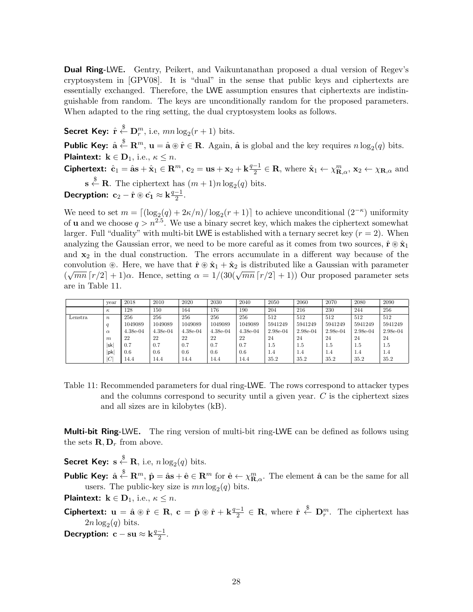**Dual Ring-LWE.** Gentry, Peikert, and Vaikuntanathan proposed a dual version of Regev's cryptosystem in [GPV08]. It is "dual" in the sense that public keys and ciphertexts are essentially exchanged. Therefore, the LWE assumption ensures that ciphertexts are indistinguishable from random. The keys are unconditionally random for the proposed parameters. When adapted to the ring setting, the dual cryptosystem looks as follows.

Secret Key:  $\hat{\mathbf{r}} \stackrel{\$}{\leftarrow} \mathbf{D}_r^m$ , i.e,  $mn \log_2(r+1)$  bits. **Public Key:**  $\hat{\mathbf{a}} \stackrel{\$}{\leftarrow} \mathbf{R}^m$ ,  $\mathbf{u} = \hat{\mathbf{a}} \circledast \hat{\mathbf{r}} \in \mathbf{R}$ . Again,  $\hat{\mathbf{a}}$  is global and the key requires  $n \log_2(q)$  bits. Plaintext:  $k \in D_1$ , i.e.,  $\kappa \leq n$ . Ciphertext:  $\hat{\mathbf{c}}_1 = \hat{\mathbf{a}} \mathbf{s} + \hat{\mathbf{x}}_1 \in \mathbf{R}^m$ ,  $\mathbf{c}_2 = \mathbf{u} \mathbf{s} + \mathbf{x}_2 + \mathbf{k} \frac{q-1}{2}$  $\frac{-1}{2} \in \mathbf{R}$ , where  $\hat{\mathbf{x}}_1 \leftarrow \chi^m_{\mathbf{R},\alpha}$ ,  $\mathbf{x}_2 \leftarrow \chi_{\mathbf{R},\alpha}$  and  $\mathbf{s} \overset{\$}{\leftarrow} \mathbf{R}$ . The ciphertext has  $(m+1)n \log_2(q)$  bits. Decryption:  $c_2 - \hat{r} \circledast \hat{c_1} \approx k \frac{q-1}{2}$  $\frac{-1}{2}$ .

We need to set  $m = \lfloor (\log_2(q) + 2\kappa/n)/\log_2(r+1) \rfloor$  to achieve unconditional  $(2^{-\kappa})$  uniformity of **u** and we choose  $q > n^{2.5}$ . We use a binary secret key, which makes the ciphertext somewhat larger. Full "duality" with multi-bit LWE is established with a ternary secret key  $(r = 2)$ . When analyzing the Gaussian error, we need to be more careful as it comes from two sources,  $\hat{\mathbf{r}} \circledast \hat{\mathbf{x}}_1$ and  $x_2$  in the dual construction. The errors accumulate in a different way because of the convolution  $\circledast$ . Here, we have that  $\hat{\mathbf{r}} \circledast \hat{\mathbf{x}}_1 + \hat{\mathbf{x}}_2$  is distributed like a Gaussian with parameter convolution  $\infty$ . Here, we have that  $\mathbf{1} \otimes \mathbf{x}_1 + \mathbf{x}_2$  is distributed like a Gaussian with parameter  $(\sqrt{mn} [r/2] + 1)\alpha$ . Hence, setting  $\alpha = 1/(30(\sqrt{mn} [r/2] + 1))$  Our proposed parameter sets are in Table 11.

|         | vear             | 2018       | 2010       | 2020       | 2030     | 2040     | 2050       | 2060     | 2070     | 2080     | 2090     |
|---------|------------------|------------|------------|------------|----------|----------|------------|----------|----------|----------|----------|
|         | $\kappa$         | 128        | 150        | 164        | 176      | 190      | 204        | 216      | 230      | 244      | 256      |
| Lenstra | $\boldsymbol{n}$ | 256        | 256        | 256        | 256      | 256      | 512        | 512      | 512      | 512      | 512      |
|         | a                | 1049089    | 1049089    | 1049089    | 1049089  | 1049089  | 5941249    | 5941249  | 5941249  | 5941249  | 5941249  |
|         | $\alpha$         | $4.38e-04$ | $4.38e-04$ | $4.38e-04$ | 4.38e-04 | 4.38e-04 | $2.98e-04$ | 2.98e-04 | 2.98e-04 | 2.98e-04 | 2.98e-04 |
|         | m                | 22         | 22         | 22         | 22       | 22       | 24         | 24       | 24       | 24       | 24       |
|         | lsk              | 0.7        | 0.7        | 0.7        | 0.7      | 0.7      | 1.5        | 1.5      | 1.5      | 1.5      | 1.5      |
|         | pk               | 0.6        | 0.6        | 0.6        | 0.6      | 0.6      | 1.4        | 1.4      | 1.4      | 1.4      | 1.4      |
|         |                  | 14.4       | 14.4       | 14.4       | 14.4     | 14.4     | 35.2       | 35.2     | 35.2     | 35.2     | 35.2     |

Table 11: Recommended parameters for dual ring-LWE. The rows correspond to attacker types and the columns correspond to security until a given year.  $C$  is the ciphertext sizes and all sizes are in kilobytes (kB).

**Multi-bit Ring-LWE.** The ring version of multi-bit ring-LWE can be defined as follows using the sets  $\mathbf{R}, \mathbf{D}_r$  from above.

Secret Key:  $\mathbf{s} \stackrel{\$}{\leftarrow} \mathbf{R}$ , i.e,  $n \log_2(q)$  bits.

**Public Key:**  $\hat{\mathbf{a}} \stackrel{\$}{\leftarrow} \mathbf{R}^m$ ,  $\hat{\mathbf{p}} = \hat{\mathbf{a}} \mathbf{s} + \hat{\mathbf{e}} \in \mathbf{R}^m$  for  $\hat{\mathbf{e}} \leftarrow \chi^m_{\mathbf{R}, \alpha}$ . The element  $\hat{\mathbf{a}}$  can be the same for all users. The public-key size is  $mn \log_2(q)$  bits.

**Plaintext:**  $\mathbf{k} \in \mathbf{D}_1$ , i.e.,  $\kappa \leq n$ .

- Ciphertext:  $u = \hat{a} \circledast \hat{r} \in R$ ,  $c = \hat{p} \circledast \hat{r} + k \frac{q-1}{2}$  $\frac{-1}{2} \in \mathbf{R}$ , where  $\hat{\mathbf{r}} \stackrel{\$}{\leftarrow} \mathbf{D}_r^m$ . The ciphertext has  $2n \log_2(q)$  bits.
- Decryption:  $c \text{su} \approx k \frac{q-1}{2}$  $\frac{-1}{2}$ .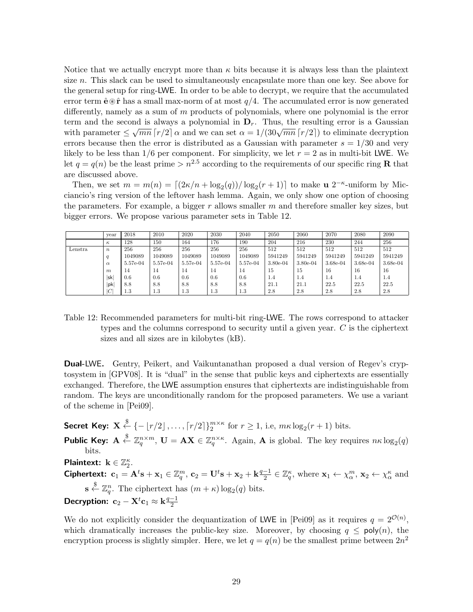Notice that we actually encrypt more than  $\kappa$  bits because it is always less than the plaintext size  $n$ . This slack can be used to simultaneously encapsulate more than one key. See above for the general setup for ring-LWE. In order to be able to decrypt, we require that the accumulated error term  $\hat{\mathbf{e}}\circledast\hat{\mathbf{r}}$  has a small max-norm of at most  $q/4$ . The accumulated error is now generated differently, namely as a sum of m products of polynomials, where one polynomial is the error term and the second is always a polynomial in  $\mathbf{D}_r$ . Thus, the resulting error is a Gaussian with parameter  $\leq \sqrt{mn} \left[ r/2 \right] \alpha$  and we can set  $\alpha = 1/(30\sqrt{mn} \left[ r/2 \right])$  to eliminate decryption errors because then the error is distributed as a Gaussian with parameter  $s = 1/30$  and very likely to be less than  $1/6$  per component. For simplicity, we let  $r = 2$  as in multi-bit LWE. We let  $q = q(n)$  be the least prime  $> n^{2.5}$  according to the requirements of our specific ring **R** that are discussed above.

Then, we set  $m = m(n) = \lfloor (2\kappa/n + \log_2(q))/\log_2(r+1) \rfloor$  to make  $\mathbf{u} \; 2^{-\kappa}$ -uniform by Micciancio's ring version of the leftover hash lemma. Again, we only show one option of choosing the parameters. For example, a bigger  $r$  allows smaller  $m$  and therefore smaller key sizes, but bigger errors. We propose various parameter sets in Table 12.

|         | vear             | 2018     | 2010     | 2020     | 2030     | 2040     | 2050       | 2060       | 2070       | 2080     | 2090       |
|---------|------------------|----------|----------|----------|----------|----------|------------|------------|------------|----------|------------|
|         | $\kappa$         | 128      | 150      | 164      | 176      | 190      | 204        | 216        | 230        | 244      | 256        |
| Lenstra | $\boldsymbol{n}$ | 256      | 256      | 256      | 256      | 256      | 512        | 512        | 512        | 512      | 512        |
|         | q                | 1049089  | 1049089  | 1049089  | 1049089  | 1049089  | 5941249    | 5941249    | 5941249    | 5941249  | 5941249    |
|         | $\alpha$         | 5.57e-04 | 5.57e-04 | 5.57e-04 | 5.57e-04 | 5.57e-04 | $3.80e-04$ | $3.80e-04$ | $3.68e-04$ | 3.68e-04 | $3.68e-04$ |
|         | $\boldsymbol{m}$ | 14       | 14       | 14       | 14       | 14       | 15         | 15         | 16         | 16       | 16         |
|         | lsk              | 0.6      | 0.6      | 0.6      | 0.6      | 0.6      | 1.4        | 1.4        | 1.4        | 1.4      | 1.4        |
|         | pk               | 8.8      | 8.8      | 8.8      | 8.8      | 8.8      | 21.1       | 21.1       | 22.5       | 22.5     | 22.5       |
|         | C                | $1.3\,$  | 1.3      | 1.3      | 1.3      | 1.3      | 2.8        | 2.8        | 2.8        | 2.8      | 2.8        |

Table 12: Recommended parameters for multi-bit ring-LWE. The rows correspond to attacker types and the columns correspond to security until a given year. C is the ciphertext sizes and all sizes are in kilobytes (kB).

**Dual-LWE.** Gentry, Peikert, and Vaikuntanathan proposed a dual version of Regev's cryptosystem in [GPV08]. It is "dual" in the sense that public keys and ciphertexts are essentially exchanged. Therefore, the LWE assumption ensures that ciphertexts are indistinguishable from random. The keys are unconditionally random for the proposed parameters. We use a variant of the scheme in [Pei09].

Secret Key:  $\mathbf{X} \stackrel{\$}{\leftarrow} \{-\lfloor r/2 \rfloor, \ldots, \lceil r/2 \rceil\}^m_2^{\times \kappa} \text{ for } r \geq 1, \text{ i.e., } m\kappa \log_2(r+1) \text{ bits.}$ 

**Public Key:**  $A \stackrel{\$}{\leftarrow} \mathbb{Z}_q^{n \times m}$ ,  $U = AX \in \mathbb{Z}_q^{n \times \kappa}$ . Again, A is global. The key requires  $n \kappa \log_2(q)$ bits.

Plaintext:  $\mathbf{k} \in \mathbb{Z}_2^{\kappa}$ .

Ciphertext:  $\mathbf{c}_1 = \mathbf{A}^t\mathbf{s} + \mathbf{x}_1 \in \mathbb{Z}_q^m$ ,  $\mathbf{c}_2 = \mathbf{U}^t\mathbf{s} + \mathbf{x}_2 + \mathbf{k}\frac{q-1}{2}$  $\frac{-1}{2} \in \mathbb{Z}_q^{\kappa}$ , where  $\mathbf{x}_1 \leftarrow \chi_{\alpha}^m$ ,  $\mathbf{x}_2 \leftarrow \chi_{\alpha}^{\kappa}$  and  $\mathbf{s} \stackrel{\$}{\leftarrow} \mathbb{Z}_q^n$ . The ciphertext has  $(m + \kappa) \log_2(q)$  bits. Decryption:  $\mathbf{c}_2 - \mathbf{X}^t\mathbf{c}_1 \approx \mathbf{k}\frac{q-1}{2}$ 2

We do not explicitly consider the dequantization of LWE in [Pei09] as it requires  $q = 2^{\mathcal{O}(n)}$ , which dramatically increases the public-key size. Moreover, by choosing  $q \leq \text{poly}(n)$ , the encryption process is slightly simpler. Here, we let  $q = q(n)$  be the smallest prime between  $2n^2$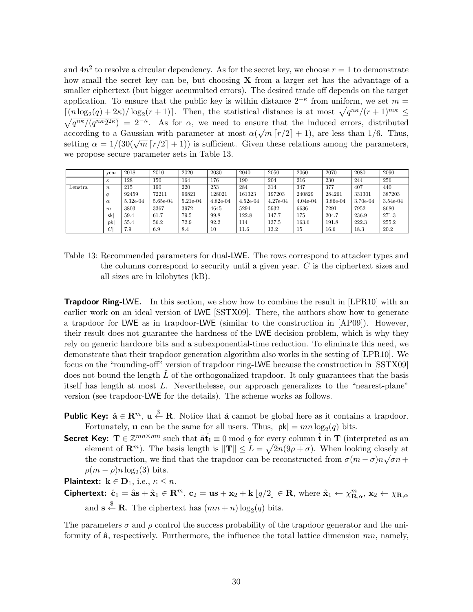and  $4n^2$  to resolve a circular dependency. As for the secret key, we choose  $r = 1$  to demonstrate how small the secret key can be, but choosing X from a larger set has the advantage of a smaller ciphertext (but bigger accumulted errors). The desired trade off depends on the target application. To ensure that the public key is within distance  $2^{-\kappa}$  from uniform, we set  $m =$  $\lceil (n \log_2(q) + 2\kappa) / \log_2(r+1) \rceil$ . Then, the statistical distance is at most  $\sqrt{q^{n\kappa}/(r+1)^{m\kappa}} \le$  $\sqrt{q^{n\kappa}/(q^{n\kappa}2^{2\kappa})} = 2^{-\kappa}$ . As for  $\alpha$ , we need to ensure that the induced errors, distributed according to a Gaussian with parameter at most  $\alpha(\sqrt{m} [r/2]+1)$ , are less than 1/6. Thus, setting  $\alpha = 1/(30(\sqrt{m} [r/2] + 1))$  is sufficient. Given these relations among the parameters, we propose secure parameter sets in Table 13.

|         | vear             | 2018       | 2010     | 2020     | 2030       | 2040       | 2050       | 2060       | 2070     | 2080     | 2090       |
|---------|------------------|------------|----------|----------|------------|------------|------------|------------|----------|----------|------------|
|         | $\kappa$         | 128        | 150      | 164      | 176        | 190        | 204        | 216        | 230      | 244      | 256        |
| Lenstra | $\boldsymbol{n}$ | 215        | 190      | 220      | 253        | 284        | 314        | 347        | 377      | 407      | 440        |
|         |                  | 92459      | 72211    | 96821    | 128021     | 161323     | 197203     | 240829     | 284261   | 331301   | 387203     |
|         | $\alpha$         | $5.32e-04$ | 5.65e-04 | 5.21e-04 | $4.82e-04$ | $4.52e-04$ | $4.27e-04$ | $4.04e-04$ | 3.86e-04 | 3.70e-04 | $3.54e-04$ |
|         | $\boldsymbol{m}$ | 3803       | 3367     | 3972     | 4645       | 5294       | 5932       | 6636       | 7291     | 7952     | 8680       |
|         | lsk              | 59.4       | 61.7     | 79.5     | 99.8       | 122.8      | 147.7      | 175        | 204.7    | 236.9    | 271.3      |
|         | pk               | 55.4       | 56.2     | 72.9     | 92.2       | 114        | 137.5      | 163.6      | 191.8    | 222.3    | 255.2      |
|         | C                | 7.9        | 6.9      | 8.4      | 10         | 11.6       | 13.2       | 15         | 16.6     | 18.3     | 20.2       |

Table 13: Recommended parameters for dual-LWE. The rows correspond to attacker types and the columns correspond to security until a given year. C is the ciphertext sizes and all sizes are in kilobytes (kB).

**Trapdoor Ring-LWE.** In this section, we show how to combine the result in [LPR10] with an earlier work on an ideal version of LWE [SSTX09]. There, the authors show how to generate a trapdoor for LWE as in trapdoor-LWE (similar to the construction in [AP09]). However, their result does not guarantee the hardness of the LWE decision problem, which is why they rely on generic hardcore bits and a subexponential-time reduction. To eliminate this need, we demonstrate that their trapdoor generation algorithm also works in the setting of [LPR10]. We focus on the "rounding-off" version of trapdoor ring-LWE because the construction in [SSTX09] does not bound the length  $L$  of the orthogonalized trapdoor. It only guarantees that the basis itself has length at most L. Neverthelesse, our approach generalizes to the "nearest-plane" version (see trapdoor-LWE for the details). The scheme works as follows.

- **Public Key:**  $\hat{\mathbf{a}} \in \mathbb{R}^m$ ,  $\mathbf{u} \stackrel{\$}{\leftarrow} \mathbb{R}$ . Notice that  $\hat{\mathbf{a}}$  cannot be global here as it contains a trapdoor. Fortunately, **u** can be the same for all users. Thus,  $|\mathsf{pk}| = mn \log_2(q)$  bits.
- Secret Key:  $\mathbf{T} \in \mathbb{Z}^{mn \times mn}$  such that  $\hat{\mathbf{a}} \hat{\mathbf{t}}_i \equiv 0 \bmod q$  for every column  $\hat{\mathbf{t}}$  in  $\mathbf{T}$  (interpreted as an element of  $\mathbf{R}^m$ ). The basis length is  $\|\mathbf{T}\| \leq L = \sqrt{2n(9\rho + \sigma)}$ . When looking closely at the construction, we find that the trapdoor can be reconstructed from  $\sigma(m-\sigma)n\sqrt{\sigma n}$  +  $\rho(m-\rho)n\log_2(3)$  bits.

**Plaintext:**  $\mathbf{k} \in \mathbf{D}_1$ , i.e.,  $\kappa \leq n$ .

Ciphertext:  $\hat{\mathbf{c}}_1 = \hat{\mathbf{a}} \mathbf{s} + \hat{\mathbf{x}}_1 \in \mathbb{R}^m$ ,  $\mathbf{c}_2 = \mathbf{u}\mathbf{s} + \mathbf{x}_2 + \mathbf{k} \lfloor q/2 \rfloor \in \mathbb{R}$ , where  $\hat{\mathbf{x}}_1 \leftarrow \chi_{\mathbb{R},\alpha}^m$ ,  $\mathbf{x}_2 \leftarrow \chi_{\mathbb{R},\alpha}$ and  $\mathbf{s} \stackrel{\$}{\leftarrow} \mathbf{R}$ . The ciphertext has  $(mn + n) \log_2(q)$  bits.

The parameters  $\sigma$  and  $\rho$  control the success probability of the trapdoor generator and the uniformity of  $\hat{\mathbf{a}}$ , respectively. Furthermore, the influence the total lattice dimension  $mn$ , namely,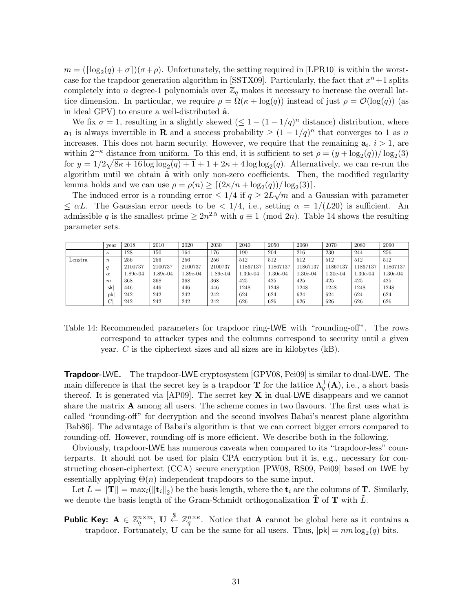$m = (\lceil \log_2(q) + \sigma \rceil)(\sigma + \rho)$ . Unfortunately, the setting required in [LPR10] is within the worstcase for the trapdoor generation algorithm in [SSTX09]. Particularly, the fact that  $x^n + 1$  splits completely into n degree-1 polynomials over  $\mathbb{Z}_q$  makes it necessary to increase the overall lattice dimension. In particular, we require  $\rho = \Omega(\kappa + \log(q))$  instead of just  $\rho = \mathcal{O}(\log(q))$  (as in ideal GPV) to ensure a well-distributed  $\hat{a}$ .

We fix  $\sigma = 1$ , resulting in a slightly skewed  $(\leq 1 - (1 - 1/q)^n)$  distance) distribution, where **a**<sub>1</sub> is always invertible in **R** and a success probability  $\geq (1 - 1/q)^n$  that converges to 1 as n increases. This does not harm security. However, we require that the remaining  $a_i$ ,  $i > 1$ , are within  $2^{-\kappa}$  distance from uniform. To this end, it is sufficient to set  $\rho = (y + \log_2(q))/\log_2(3)$ for  $y = 1/2\sqrt{8\kappa + 16\log\log_2(q) + 1} + 1 + 2\kappa + 4\log\log_2(q)$ . Alternatively, we can re-run the algorithm until we obtain  $\hat{a}$  with only non-zero coefficients. Then, the modified regularity lemma holds and we can use  $\rho = \rho(n) \geq \left[ \frac{2\kappa}{n + \log_2(q)} \right] / \log_2(3)$ .

The induced error is a rounding error  $\leq 1/4$  if  $q \geq 2L\sqrt{m}$  and a Gaussian with parameter  $\leq \alpha L$ . The Gaussian error needs to be  $\langle 1/4, i.e.,$  setting  $\alpha = 1/(L20)$  is sufficient. An admissible q is the smallest prime  $\geq 2n^{2.5}$  with  $q \equiv 1 \pmod{2n}$ . Table 14 shows the resulting parameter sets.

|         | vear             | 2018     | 2010       | 2020     | 2030     | 2040       | 2050       | 2060       | 2070       | 2080       | 2090       |
|---------|------------------|----------|------------|----------|----------|------------|------------|------------|------------|------------|------------|
|         | $\kappa$         | 128      | 150        | 164      | 176      | 190        | 204        | 216        | 230        | 244        | 256        |
| Lenstra | $\boldsymbol{n}$ | 256      | 256        | 256      | 256      | 512        | 512        | 512        | 512        | 512        | 512        |
|         | a                | 2100737  | 2100737    | 2100737  | 2100737  | 11867137   | 11867137   | 11867137   | 11867137   | 11867137   | 11867137   |
|         | $\alpha$         | l.89e-04 | $1.89e-04$ | 1.89e-04 | 1.89e-04 | $1.30e-04$ | $1.30e-04$ | $1.30e-04$ | $1.30e-04$ | $1.30e-04$ | $1.30e-04$ |
|         | $\boldsymbol{m}$ | 368      | 368        | 368      | 368      | 425        | 425        | 425        | 425        | 425        | 425        |
|         | lsk              | 446      | 446        | 446      | 446      | 1248       | 1248       | 1248       | 1248       | 1248       | 1248       |
|         | lpk              | 242      | 242        | 242      | 242      | 624        | 624        | 624        | 624        | 624        | 624        |
|         | IС               | 242      | 242        | 242      | 242      | 626        | 626        | 626        | 626        | 626        | 626        |

Table 14: Recommended parameters for trapdoor ring-LWE with "rounding-off". The rows correspond to attacker types and the columns correspond to security until a given year. C is the ciphertext sizes and all sizes are in kilobytes (kB).

Trapdoor-LWE. The trapdoor-LWE cryptosystem [GPV08, Pei09] is similar to dual-LWE. The main difference is that the secret key is a trapdoor **T** for the lattice  $\Lambda_q^{\perp}(\mathbf{A})$ , i.e., a short basis thereof. It is generated via  $[AP09]$ . The secret key **X** in dual-LWE disappears and we cannot share the matrix A among all users. The scheme comes in two flavours. The first uses what is called "rounding-off" for decryption and the second involves Babai's nearest plane algorithm [Bab86]. The advantage of Babai's algorithm is that we can correct bigger errors compared to rounding-off. However, rounding-off is more efficient. We describe both in the following.

Obviously, trapdoor-LWE has numerous caveats when compared to its "trapdoor-less" counterparts. It should not be used for plain CPA encryption but it is, e.g., necessary for constructing chosen-ciphertext (CCA) secure encryption [PW08, RS09, Pei09] based on LWE by essentially applying  $\Theta(n)$  independent trapdoors to the same input.

Let  $L = \|\mathbf{T}\| = \max_i (\|\mathbf{t}_i\|_2)$  be the basis length, where the  $\mathbf{t}_i$  are the columns of  $\mathbf{T}$ . Similarly, we denote the basis length of the Gram-Schmidt orthogonalization  $T$  of  $T$  with L.

**Public Key:**  $A \in \mathbb{Z}_q^{n \times m}$ ,  $U \stackrel{\$}{\leftarrow} \mathbb{Z}_q^{n \times \kappa}$ . Notice that A cannot be global here as it contains a trapdoor. Fortunately, **U** can be the same for all users. Thus,  $|\mathsf{pk}| = nm \log_2(q)$  bits.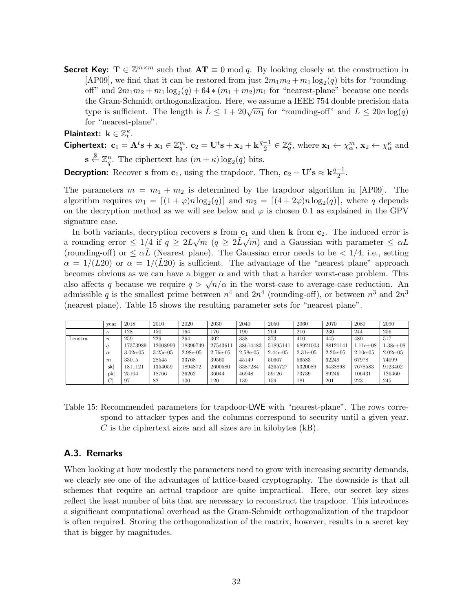**Secret Key:**  $\mathbf{T} \in \mathbb{Z}^{m \times m}$  such that  $\mathbf{AT} \equiv 0 \mod q$ . By looking closely at the construction in [AP09], we find that it can be restored from just  $2m_1m_2 + m_1 \log_2(q)$  bits for "roundingoff" and  $2m_1m_2 + m_1\log_2(q) + 64*(m_1+m_2)m_1$  for "nearest-plane" because one needs the Gram-Schmidt orthogonalization. Here, we assume a IEEE 754 double precision data type is sufficient. The length is  $L \leq 1 + 20\sqrt{m_1}$  for "rounding-off" and  $L \leq 20n \log(q)$ for "nearest-plane".

Plaintext:  $\mathbf{k} \in \mathbb{Z}_t^{\kappa}$ .

Ciphertext:  $\mathbf{c}_1 = \mathbf{A}^t\mathbf{s} + \mathbf{x}_1 \in \mathbb{Z}_q^m$ ,  $\mathbf{c}_2 = \mathbf{U}^t\mathbf{s} + \mathbf{x}_2 + \mathbf{k}\frac{q-1}{2}$  $\frac{-1}{2} \in \mathbb{Z}_q^{\kappa}$ , where  $\mathbf{x}_1 \leftarrow \chi_{\alpha}^m$ ,  $\mathbf{x}_2 \leftarrow \chi_{\alpha}^{\kappa}$  and  $\mathbf{s} \stackrel{\$}{\leftarrow} \mathbb{Z}_q^n$ . The ciphertext has  $(m + \kappa) \log_2(q)$  bits.

 $\frac{-1}{2}$ .

**Decryption:** Recover **s** from **c**<sub>1</sub>, using the trapdoor. Then, **c**<sub>2</sub> – **U**<sup>t</sup>**s**  $\approx$  **k**<sup> $\frac{q-1}{2}$ </sup>

The parameters  $m = m_1 + m_2$  is determined by the trapdoor algorithm in [AP09]. The algorithm requires  $m_1 = \lfloor (1 + \varphi)n \log_2(q) \rfloor$  and  $m_2 = \lfloor (4 + 2\varphi)n \log_2(q) \rfloor$ , where q depends on the decryption method as we will see below and  $\varphi$  is chosen 0.1 as explained in the GPV signature case.

In both variants, decryption recovers s from  $\mathbf{c}_1$  and then k from  $\mathbf{c}_2$ . The induced error is a rounding error  $\leq 1/4$  if  $q \geq 2L\sqrt{m}$  ( $q \geq 2\tilde{L}\sqrt{m}$ ) and a Gaussian with parameter  $\leq \alpha L$ (rounding-off) or  $\leq \alpha L$  (Nearest plane). The Gaussian error needs to be  $\lt 1/4$ , i.e., setting  $\alpha = 1/(L20)$  or  $\alpha = 1/(L20)$  is sufficient. The advantage of the "nearest plane" approach becomes obvious as we can have a bigger  $\alpha$  and with that a harder worst-case problem. This becomes obvious as we can have a bigger  $\alpha$  and with that a harder worst-case problem. This also affects q because we require  $q > \sqrt{n}/\alpha$  in the worst-case to average-case reduction. An admissible q is the smallest prime between  $n^4$  and  $2n^4$  (rounding-off), or between  $n^3$  and  $2n^3$ (nearest plane). Table 15 shows the resulting parameter sets for "nearest plane".

|         | vear             | 2018        | 2010        | 2020     | 2030     | 2040     | 2050       | 2060        | 2070        | 2080          | 2090        |
|---------|------------------|-------------|-------------|----------|----------|----------|------------|-------------|-------------|---------------|-------------|
|         | $\kappa$         | 128         | 150         | 164      | 176      | 190      | 204        | 216         | 230         | 244           | 256         |
| Lenstra | $\boldsymbol{n}$ | 259         | 229         | 264      | 302      | 338      | 373        | 410         | 445         | 480           | 517         |
|         | q                | 17373989    | 12008999    | 18399749 | 27543611 | 38614483 | 51895141   | 68921003    | 88121141    | $1.11e + 0.8$ | $1.38e+08$  |
|         | $\alpha$         | $3.02e-0.5$ | $3.25e-0.5$ | 2.98e-05 | 2.76e-05 | 2.58e-05 | $2.44e-05$ | $2.31e-0.5$ | $2.20e-0.5$ | $2.10e-0.5$   | $2.02e-0.5$ |
|         | m                | 33015       | 28545       | 33768    | 39560    | 45149    | 50667      | 56583       | 62249       | 67978         | 74099       |
|         | lsk              | 1811121     | 1354059     | 1894872  | 2600580  | 3387284  | 4265727    | 5320089     | 6438898     | 7678583       | 9123402     |
|         | pk               | 25104       | 18766       | 26262    | 36044    | 46948    | 59126      | 73739       | 89246       | 106431        | 126460      |
|         | ІC               | 97          | 82          | 100      | 120      | 139      | 159        | 181         | 201         | 223           | 245         |

Table 15: Recommended parameters for trapdoor-LWE with "nearest-plane". The rows correspond to attacker types and the columns correspond to security until a given year.  $C$  is the ciphertext sizes and all sizes are in kilobytes  $(kB)$ .

#### A.3. Remarks

When looking at how modestly the parameters need to grow with increasing security demands, we clearly see one of the advantages of lattice-based cryptography. The downside is that all schemes that require an actual trapdoor are quite impractical. Here, our secret key sizes reflect the least number of bits that are necessary to reconstruct the trapdoor. This introduces a significant computational overhead as the Gram-Schmidt orthogonalization of the trapdoor is often required. Storing the orthogonalization of the matrix, however, results in a secret key that is bigger by magnitudes.